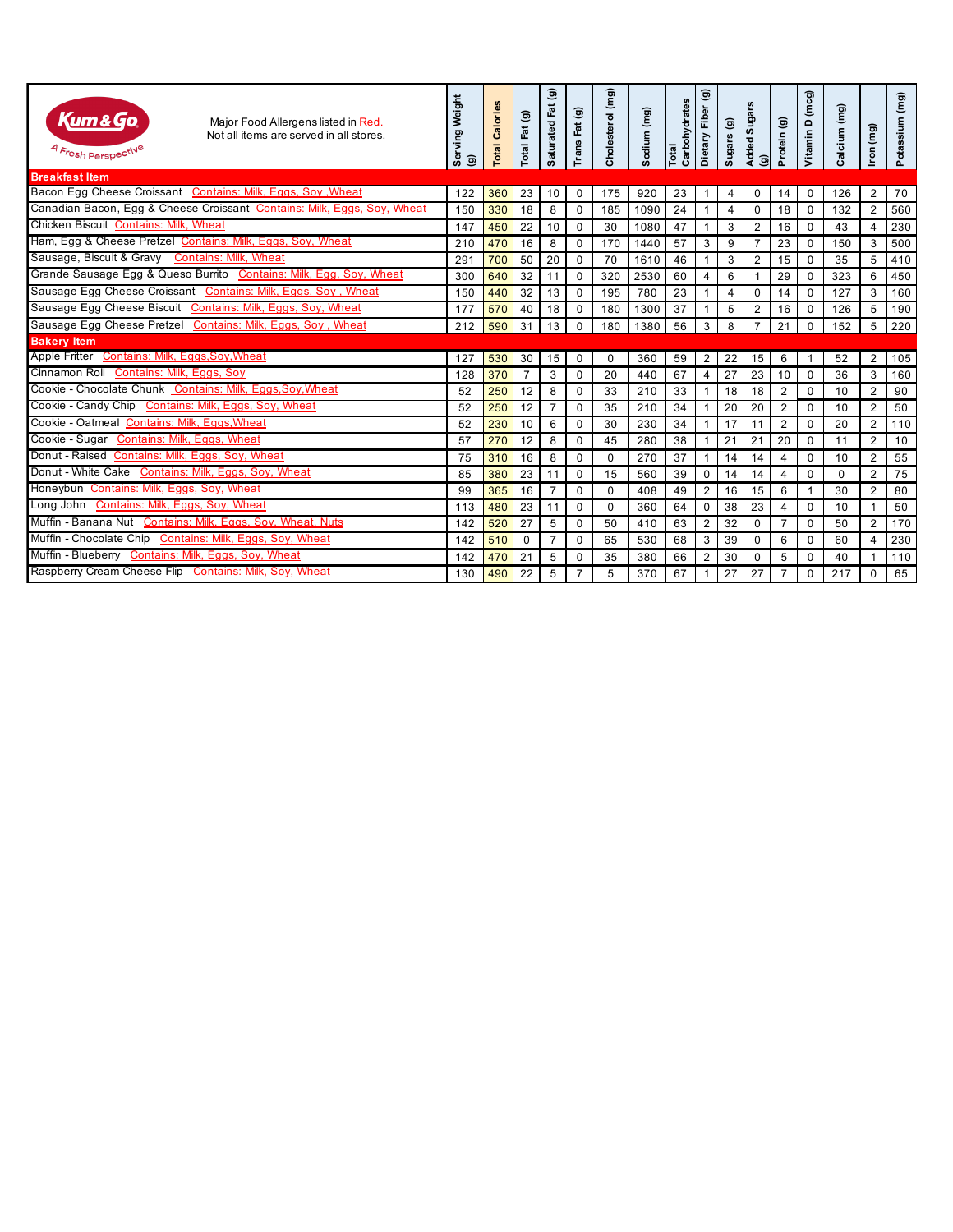| Kum&Go<br>Major Food Allergens listed in Red.<br>Not all items are served in all stores.<br>4 Fresh Perspective | Serving Weight<br>ම | Calories<br>Total | Total Fat (g)  | $\widehat{\mathbf{e}}$<br>Saturated Fat | Trans Fat (g)  | Cholesterol (mg) | Sodium (mg) | Carbohydrates<br>Total | Dietary Fiber (g) | Sugars (g) | Added Sugars<br>(g) | Protein (g)    | Vitamin D (mcg) | Calcium (mg) | Iron (mg)      | Potassium (mg) |
|-----------------------------------------------------------------------------------------------------------------|---------------------|-------------------|----------------|-----------------------------------------|----------------|------------------|-------------|------------------------|-------------------|------------|---------------------|----------------|-----------------|--------------|----------------|----------------|
| <b>Breakfast Item</b>                                                                                           |                     |                   |                |                                         |                |                  |             |                        |                   |            |                     |                |                 |              |                |                |
| Bacon Egg Cheese Croissant Contains: Milk, Eggs, Soy, Wheat                                                     | 122                 | 360               | 23             | 10                                      | $\mathbf 0$    | 175              | 920         | 23                     | 1                 | 4          | $\mathbf 0$         | 14             | $\mathbf 0$     | 126          | $\overline{2}$ | 70             |
| Canadian Bacon, Egg & Cheese Croissant Contains: Milk, Eggs, Soy, Wheat                                         | 150                 | 330               | 18             | 8                                       | $\mathbf 0$    | 185              | 1090        | 24                     | $\mathbf{1}$      | 4          | $\mathbf 0$         | 18             | $\mathbf{0}$    | 132          | 2              | 560            |
| Chicken Biscuit Contains: Milk, Wheat                                                                           | 147                 | 450               | 22             | 10                                      | $\mathbf 0$    | 30               | 1080        | 47                     | $\mathbf{1}$      | 3          | $\overline{2}$      | 16             | $\mathbf 0$     | 43           | $\overline{4}$ | 230            |
| Ham, Egg & Cheese Pretzel Contains: Milk, Eggs, Soy, Wheat                                                      | 210                 | 470               | 16             | 8                                       | $\mathbf 0$    | 170              | 1440        | 57                     | 3                 | 9          | $\overline{7}$      | 23             | $\Omega$        | 150          | 3              | 500            |
| Sausage, Biscuit & Gravy Contains: Milk, Wheat                                                                  | 291                 | 700               | 50             | 20                                      | $\mathbf 0$    | 70               | 1610        | 46                     | $\mathbf{1}$      | 3          | $\overline{2}$      | 15             | $\mathbf 0$     | 35           | 5              | 410            |
| Grande Sausage Egg & Queso Burrito Contains: Milk, Egg, Soy, Wheat                                              | 300                 | 640               | 32             | 11                                      | $\mathbf 0$    | 320              | 2530        | 60                     | 4                 | 6          | -1                  | 29             | $\mathbf{0}$    | 323          | 6              | 450            |
| Sausage Egg Cheese Croissant Contains: Milk, Eggs, Soy, Wheat                                                   | 150                 | 440               | 32             | 13                                      | $\mathbf 0$    | 195              | 780         | 23                     | $\mathbf{1}$      | 4          | $\mathbf 0$         | 14             | $\mathbf 0$     | 127          | 3              | 160            |
| Sausage Egg Cheese Biscuit Contains: Milk, Eggs, Soy, Wheat                                                     | 177                 | 570               | 40             | 18                                      | $\mathbf 0$    | 180              | 1300        | 37                     | 1                 | 5          | $\overline{2}$      | 16             | 0               | 126          | 5              | 190            |
| Sausage Egg Cheese Pretzel Contains: Milk, Eggs, Soy, Wheat                                                     | 212                 | 590               | 31             | 13                                      | $\mathbf 0$    | 180              | 1380        | 56                     | 3                 | 8          | $\overline{7}$      | 21             | $\Omega$        | 152          | 5              | 220            |
| <b>Bakery Item</b>                                                                                              |                     |                   |                |                                         |                |                  |             |                        |                   |            |                     |                |                 |              |                |                |
| Apple Fritter Contains: Milk, Eggs, Soy, Wheat                                                                  | 127                 | 530               | 30             | 15                                      | $\mathbf 0$    | 0                | 360         | 59                     | $\overline{2}$    | 22         | 15                  | 6              | -1              | 52           | 2              | 105            |
| Cinnamon Roll Contains: Milk, Eggs, Soy                                                                         | 128                 | 370               | $\overline{7}$ | 3                                       | $\mathbf 0$    | 20               | 440         | 67                     | $\overline{4}$    | 27         | 23                  | 10             | $\mathbf 0$     | 36           | 3              | 160            |
| Cookie - Chocolate Chunk Contains: Milk, Eggs, Soy, Wheat                                                       | 52                  | 250               | 12             | 8                                       | 0              | 33               | 210         | 33                     | $\mathbf{1}$      | 18         | 18                  | 2              | 0               | 10           | $\overline{2}$ | 90             |
| Cookie - Candy Chip Contains: Milk, Eggs, Soy, Wheat                                                            | 52                  | 250               | 12             | $\overline{7}$                          | $\mathbf 0$    | 35               | 210         | 34                     | $\mathbf{1}$      | 20         | 20                  | 2              | $\mathbf 0$     | 10           | $\overline{2}$ | 50             |
| Cookie - Oatmeal Contains: Milk, Eggs, Wheat                                                                    | 52                  | 230               | 10             | 6                                       | $\Omega$       | 30               | 230         | 34                     | 1                 | 17         | 11                  | $\overline{2}$ | $\Omega$        | 20           | 2              | 110            |
| Cookie - Sugar Contains: Milk, Eggs, Wheat                                                                      | 57                  | 270               | 12             | 8                                       | $\mathbf 0$    | 45               | 280         | 38                     | $\mathbf{1}$      | 21         | 21                  | 20             | $\mathbf 0$     | 11           | $\overline{2}$ | 10             |
| Donut - Raised Contains: Milk, Eggs, Soy, Wheat                                                                 | 75                  | 310               | 16             | 8                                       | $\Omega$       | $\Omega$         | 270         | 37                     | 1                 | 14         | 14                  | $\overline{4}$ | $\Omega$        | 10           | 2              | 55             |
| Donut - White Cake Contains: Milk, Eggs, Soy, Wheat                                                             | 85                  | 380               | 23             | 11                                      | $\mathbf 0$    | 15               | 560         | 39                     | $\mathbf 0$       | 14         | 14                  | $\overline{4}$ | 0               | 0            | $\overline{2}$ | 75             |
| Honeybun Contains: Milk, Eggs, Soy, Wheat                                                                       | 99                  | 365               | 16             | $\overline{7}$                          | $\mathbf 0$    | $\Omega$         | 408         | 49                     | 2                 | 16         | 15                  | 6              |                 | 30           | 2              | 80             |
| Long John Contains: Milk, Eggs, Soy, Wheat                                                                      | 113                 | 480               | 23             | 11                                      | $\mathbf 0$    | $\Omega$         | 360         | 64                     | $\mathbf 0$       | 38         | 23                  | $\overline{4}$ | $\mathbf 0$     | 10           | 1              | 50             |
| Muffin - Banana Nut Contains: Milk, Eggs, Soy, Wheat, Nuts                                                      | 142                 | 520               | 27             | 5                                       | $\mathbf 0$    | 50               | 410         | 63                     | 2                 | 32         | $\mathbf 0$         | $\overline{7}$ | $\mathbf{0}$    | 50           | 2              | 170            |
| Muffin - Chocolate Chip Contains: Milk, Eggs, Soy, Wheat                                                        | 142                 | 510               | 0              | $\overline{7}$                          | $\mathbf 0$    | 65               | 530         | 68                     | 3                 | 39         | $\mathbf 0$         | 6              | 0               | 60           | $\overline{4}$ | 230            |
| Muffin - Blueberry Contains: Milk, Eggs, Soy, Wheat                                                             | 142                 | 470               | 21             | 5                                       | $\mathbf 0$    | 35               | 380         | 66                     | 2                 | 30         | $\mathbf 0$         | 5              | $\mathbf 0$     | 40           | 1              | 110            |
| Raspberry Cream Cheese Flip Contains: Milk, Soy, Wheat                                                          | 130                 | 490               | 22             | 5                                       | $\overline{7}$ | 5                | 370         | 67                     | $\mathbf{1}$      | 27         | 27                  | $\overline{7}$ | $\mathbf 0$     | 217          | $\mathbf 0$    | 65             |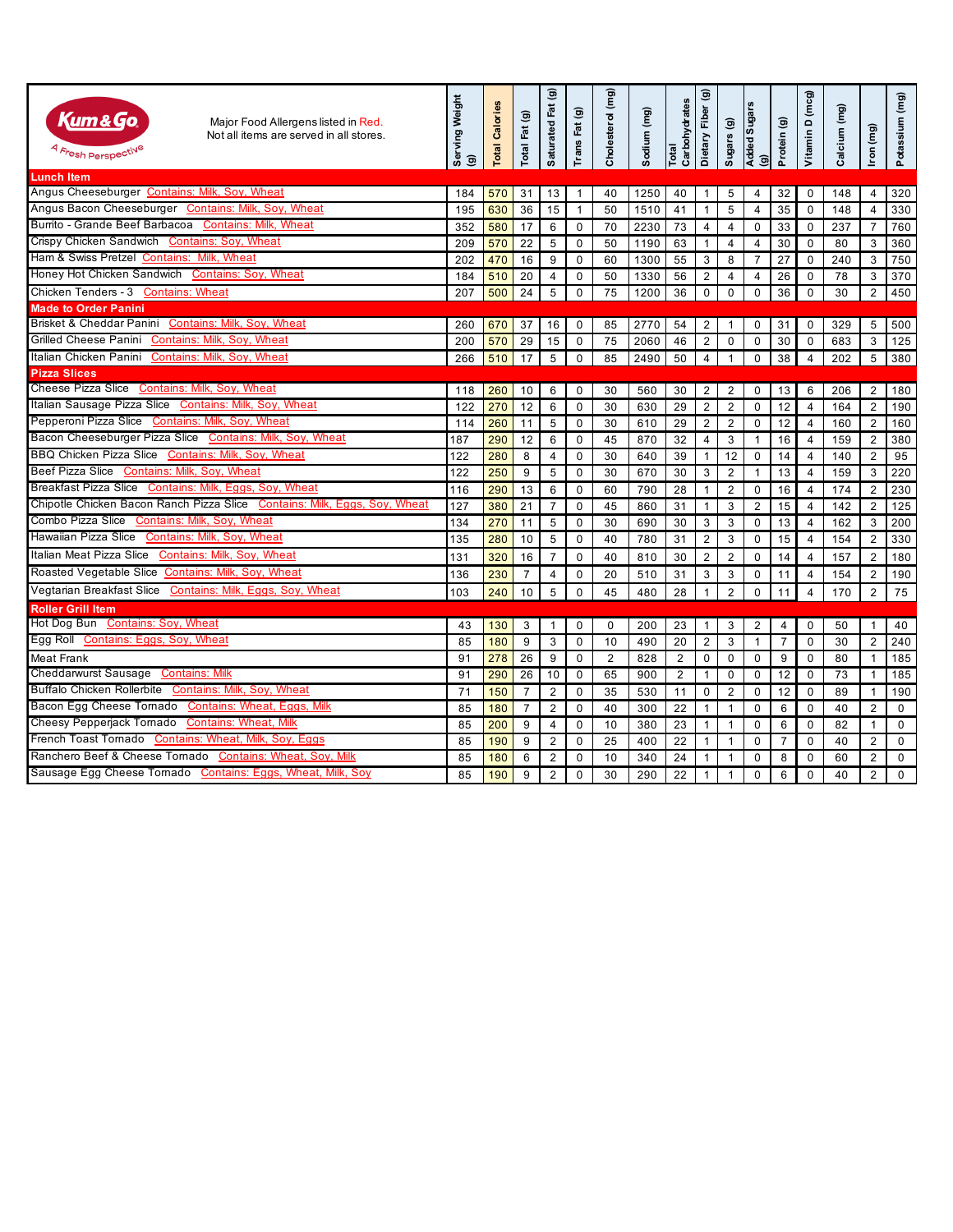| Kum&Go<br>Major Food Allergens listed in Red.<br>Not all items are served in all stores.<br><sup>4</sup> Fresh Perspecti <sup>ve</sup> | Serving Weight<br>$\circledcirc$ | Calories<br>Total | ම<br>Fat<br>Total | ම<br>Saturated Fat | $\widehat{\mathbf{G}}$<br>Fat<br>Trans | Cholesterol (mg) | Sodium (mg) | Carbohydrates<br>Total | $\widehat{\mathbf{e}}$<br>Dietary Fiber | $\widehat{\mathbf{e}}$<br>Sugars | <b>Sugars</b><br>Added<br>$\widehat{\mathbf{G}}$ | Protein (g)    | Vitamin D (mcg) | Calcium (mg) | Iron (mg)      | Potassium (mg) |
|----------------------------------------------------------------------------------------------------------------------------------------|----------------------------------|-------------------|-------------------|--------------------|----------------------------------------|------------------|-------------|------------------------|-----------------------------------------|----------------------------------|--------------------------------------------------|----------------|-----------------|--------------|----------------|----------------|
| <b>Lunch Item</b>                                                                                                                      |                                  |                   |                   |                    |                                        |                  |             |                        |                                         |                                  |                                                  |                |                 |              |                |                |
| Angus Cheeseburger Contains: Milk, Soy, Wheat                                                                                          | 184                              | 570               | 31                | 13                 | $\overline{1}$                         | 40               | 1250        | 40                     | $\mathbf{1}$                            | 5                                | $\overline{4}$                                   | 32             | $\Omega$        | 148          | $\overline{4}$ | 320            |
| Angus Bacon Cheeseburger Contains: Milk, Soy, Wheat                                                                                    | 195                              | 630               | 36                | 15                 | $\overline{1}$                         | 50               | 1510        | 41                     | $\mathbf{1}$                            | 5                                | $\overline{4}$                                   | 35             | $\Omega$        | 148          | 4              | 330            |
| Burrito - Grande Beef Barbacoa Contains: Milk, Wheat                                                                                   | 352                              | 580               | 17                | 6                  | $\mathbf 0$                            | 70               | 2230        | 73                     | 4                                       | 4                                | $\pmb{0}$                                        | 33             | 0               | 237          | $\overline{7}$ | 760            |
| Crispy Chicken Sandwich Contains: Soy, Wheat                                                                                           | 209                              | 570               | 22                | 5                  | $\mathbf 0$                            | 50               | 1190        | 63                     | 1                                       | 4                                | $\overline{4}$                                   | 30             | 0               | 80           | 3              | 360            |
| Ham & Swiss Pretzel Contains: Milk, Wheat                                                                                              | 202                              | 470               | 16                | 9                  | $\mathbf 0$                            | 60               | 1300        | 55                     | 3                                       | 8                                | $\overline{7}$                                   | 27             | 0               | 240          | 3              | 750            |
| Honey Hot Chicken Sandwich Contains: Soy, Wheat                                                                                        | 184                              | 510               | 20                | $\overline{4}$     | $\mathbf 0$                            | 50               | 1330        | 56                     | $\overline{2}$                          | $\overline{4}$                   | $\overline{4}$                                   | 26             | $\mathbf 0$     | 78           | 3              | 370            |
| Chicken Tenders - 3 Contains: Wheat                                                                                                    | 207                              | 500               | 24                | 5                  | $\mathbf 0$                            | 75               | 1200        | 36                     | 0                                       | $\mathbf 0$                      | $\mathbf 0$                                      | 36             | 0               | 30           | 2              | 450            |
| <b>Made to Order Panini</b>                                                                                                            |                                  |                   |                   |                    |                                        |                  |             |                        |                                         |                                  |                                                  |                |                 |              |                |                |
| Brisket & Cheddar Panini Contains: Milk, Soy, Wheat                                                                                    | 260                              | 670               | 37                | 16                 | $\mathbf 0$                            | 85               | 2770        | 54                     | $\overline{2}$                          | $\mathbf{1}$                     | $\mathbf 0$                                      | 31             | $\mathbf 0$     | 329          | 5              | 500            |
| Grilled Cheese Panini Contains: Milk, Soy, Wheat                                                                                       | 200                              | 570               | 29                | 15                 | $\mathbf 0$                            | 75               | 2060        | 46                     | $\overline{2}$                          | $\mathbf 0$                      | $\Omega$                                         | 30             | $\Omega$        | 683          | 3              | 125            |
| Italian Chicken Panini Contains: Milk, Soy, Wheat                                                                                      | 266                              | 510               | 17                | 5                  | $\pmb{0}$                              | 85               | 2490        | 50                     | $\overline{4}$                          | $\mathbf{1}$                     | $\pmb{0}$                                        | 38             | 4               | 202          | 5              | 380            |
| <b>Pizza Slices</b>                                                                                                                    |                                  |                   |                   |                    |                                        |                  |             |                        |                                         |                                  |                                                  |                |                 |              |                |                |
| Cheese Pizza Slice Contains: Milk, Soy, Wheat                                                                                          | 118                              | 260               | 10                | 6                  | $\mathbf 0$                            | 30               | 560         | 30                     | 2                                       | 2                                | $\mathbf 0$                                      | 13             | 6               | 206          | 2              | 180            |
| Italian Sausage Pizza Slice Contains: Milk, Soy, Wheat                                                                                 | 122                              | 270               | 12                | 6                  | $\mathbf{0}$                           | 30               | 630         | 29                     | $\overline{2}$                          | $\overline{2}$                   | $\mathbf 0$                                      | 12             | $\overline{4}$  | 164          | 2              | 190            |
| Pepperoni Pizza Slice Contains: Milk, Soy, Wheat                                                                                       | 114                              | 260               | 11                | 5                  | $\mathbf 0$                            | 30               | 610         | 29                     | $\overline{2}$                          | $\overline{2}$                   | $\mathbf 0$                                      | 12             | $\overline{4}$  | 160          | 2              | 160            |
| Bacon Cheeseburger Pizza Slice Contains: Milk, Soy, Wheat                                                                              | 187                              | 290               | 12                | 6                  | $\mathbf 0$                            | 45               | 870         | 32                     | 4                                       | $\mathbf{3}$                     | $\mathbf{1}$                                     | 16             | $\overline{4}$  | 159          | 2              | 380            |
| BBQ Chicken Pizza Slice Contains: Milk, Soy, Wheat                                                                                     | 122                              | 280               | 8                 | $\overline{4}$     | $\mathbf 0$                            | 30               | 640         | 39                     | $\mathbf{1}$                            | 12                               | $\mathbf 0$                                      | 14             | $\overline{4}$  | 140          | 2              | 95             |
| Beef Pizza Slice Contains: Milk, Soy, Wheat                                                                                            | 122                              | 250               | 9                 | 5                  | $\Omega$                               | 30               | 670         | 30                     | 3                                       | $\overline{2}$                   | $\mathbf{1}$                                     | 13             | $\overline{4}$  | 159          | 3              | 220            |
| Breakfast Pizza Slice Contains: Milk, Eggs, Soy, Wheat                                                                                 | 116                              | 290               | 13                | 6                  | $\mathbf 0$                            | 60               | 790         | 28                     | $\mathbf{1}$                            | $\overline{2}$                   | $\mathbf 0$                                      | 16             | $\overline{4}$  | 174          | 2              | 230            |
| Chipotle Chicken Bacon Ranch Pizza Slice Contains: Milk, Eggs, Soy, Wheat                                                              | 127                              | 380               | 21                | $\overline{7}$     | $\mathbf 0$                            | 45               | 860         | 31                     | $\mathbf{1}$                            | 3                                | $\overline{2}$                                   | 15             | 4               | 142          | 2              | 125            |
| Combo Pizza Slice Contains: Milk, Soy, Wheat                                                                                           | 134                              | 270               | 11                | 5                  | $\mathbf 0$                            | 30               | 690         | 30                     | 3                                       | 3                                | 0                                                | 13             | $\overline{4}$  | 162          | 3              | 200            |
| Hawaiian Pizza Slice Contains: Milk, Soy, Wheat                                                                                        | 135                              | 280               | 10                | 5                  | $\mathbf 0$                            | 40               | 780         | 31                     | $\overline{2}$                          | 3                                | $\mathbf 0$                                      | 15             | $\overline{4}$  | 154          | 2              | 330            |
| Italian Meat Pizza Slice Contains: Milk, Soy, Wheat                                                                                    | 131                              | 320               | 16                | $\overline{7}$     | $\Omega$                               | 40               | 810         | 30                     | $\overline{2}$                          | $\overline{2}$                   | $\Omega$                                         | 14             | $\overline{4}$  | 157          | 2              | 180            |
| Roasted Vegetable Slice Contains: Milk, Soy, Wheat                                                                                     | 136                              | 230               | $\overline{7}$    | $\overline{4}$     | $\mathbf 0$                            | 20               | 510         | 31                     | 3                                       | 3                                | $\mathbf 0$                                      | 11             | $\overline{4}$  | 154          | 2              | 190            |
| Vegtarian Breakfast Slice Contains: Milk, Eggs, Soy, Wheat                                                                             | 103                              | 240               | 10                | 5                  | $\mathbf 0$                            | 45               | 480         | 28                     | $\mathbf{1}$                            | $\overline{2}$                   | $\mathbf 0$                                      | 11             | $\overline{4}$  | 170          | 2              | 75             |
| <b>Roller Grill Item</b>                                                                                                               |                                  |                   |                   |                    |                                        |                  |             |                        |                                         |                                  |                                                  |                |                 |              |                |                |
| Hot Dog Bun Contains: Soy, Wheat                                                                                                       | 43                               | 130               | 3                 | $\mathbf{1}$       | $\mathbf 0$                            | $\mathbf 0$      | 200         | 23                     | $\mathbf{1}$                            | 3                                | $\overline{2}$                                   | $\overline{4}$ | 0               | 50           | $\mathbf{1}$   | 40             |
| Egg Roll Contains: Eggs, Soy, Wheat                                                                                                    | 85                               | 180               | 9                 | 3                  | $\mathbf 0$                            | 10               | 490         | 20                     | $\overline{2}$                          | 3                                | $\mathbf{1}$                                     | $\overline{7}$ | $\mathbf 0$     | 30           | $\overline{2}$ | 240            |
| Meat Frank                                                                                                                             | 91                               | 278               | 26                | 9                  | $\mathbf 0$                            | 2                | 828         | $\overline{2}$         | 0                                       | 0                                | $\mathbf 0$                                      | 9              | 0               | 80           | $\mathbf{1}$   | 185            |
| Cheddarwurst Sausage Contains: Milk                                                                                                    | 91                               | 290               | 26                | 10                 | $\mathbf 0$                            | 65               | 900         | $\overline{2}$         | $\mathbf{1}$                            | $\mathbf 0$                      | $\mathbf 0$                                      | 12             | 0               | 73           | $\mathbf{1}$   | 185            |
| Buffalo Chicken Rollerbite Contains: Milk, Soy, Wheat                                                                                  | 71                               | 150               | $\overline{7}$    | 2                  | $\mathbf 0$                            | 35               | 530         | 11                     | 0                                       | 2                                | $\mathbf 0$                                      | 12             | 0               | 89           | $\mathbf{1}$   | 190            |
| Bacon Egg Cheese Tornado Contains: Wheat, Eggs, Milk                                                                                   | 85                               | 180               | $\overline{7}$    | 2                  | $\mathbf 0$                            | 40               | 300         | 22                     | $\mathbf{1}$                            | $\mathbf{1}$                     | $\mathbf 0$                                      | 6              | 0               | 40           | 2              | $\Omega$       |
| Cheesy Pepperjack Tornado Contains: Wheat, Milk                                                                                        | 85                               | 200               | 9                 | $\overline{4}$     | $\mathbf{0}$                           | 10               | 380         | 23                     | $\mathbf{1}$                            | $\mathbf{1}$                     | $\Omega$                                         | 6              | 0               | 82           | $\mathbf{1}$   | $\mathbf 0$    |
| French Toast Tornado Contains: Wheat, Milk, Soy, Eggs                                                                                  | 85                               | 190               | 9                 | 2                  | $\mathbf 0$                            | 25               | 400         | 22                     | $\mathbf{1}$                            | $\mathbf{1}$                     | $\Omega$                                         | $\overline{7}$ | 0               | 40           | $\overline{2}$ | $\Omega$       |
| Ranchero Beef & Cheese Tornado Contains: Wheat, Soy, Milk                                                                              | 85                               | 180               | 6                 | 2                  | $\mathbf 0$                            | 10               | 340         | 24                     | $\mathbf{1}$                            | $\mathbf{1}$                     | $\Omega$                                         | 8              | $\Omega$        | 60           | $\overline{2}$ | $\mathbf 0$    |
| Sausage Egg Cheese Tornado Contains: Eggs, Wheat, Milk, Soy                                                                            | 85                               | 190               | 9                 | $\overline{2}$     | $\Omega$                               | 30               | 290         | 22                     | $\mathbf{1}$                            | $\mathbf{1}$                     | $\Omega$                                         | 6              | $\Omega$        | 40           | $\overline{2}$ | $\Omega$       |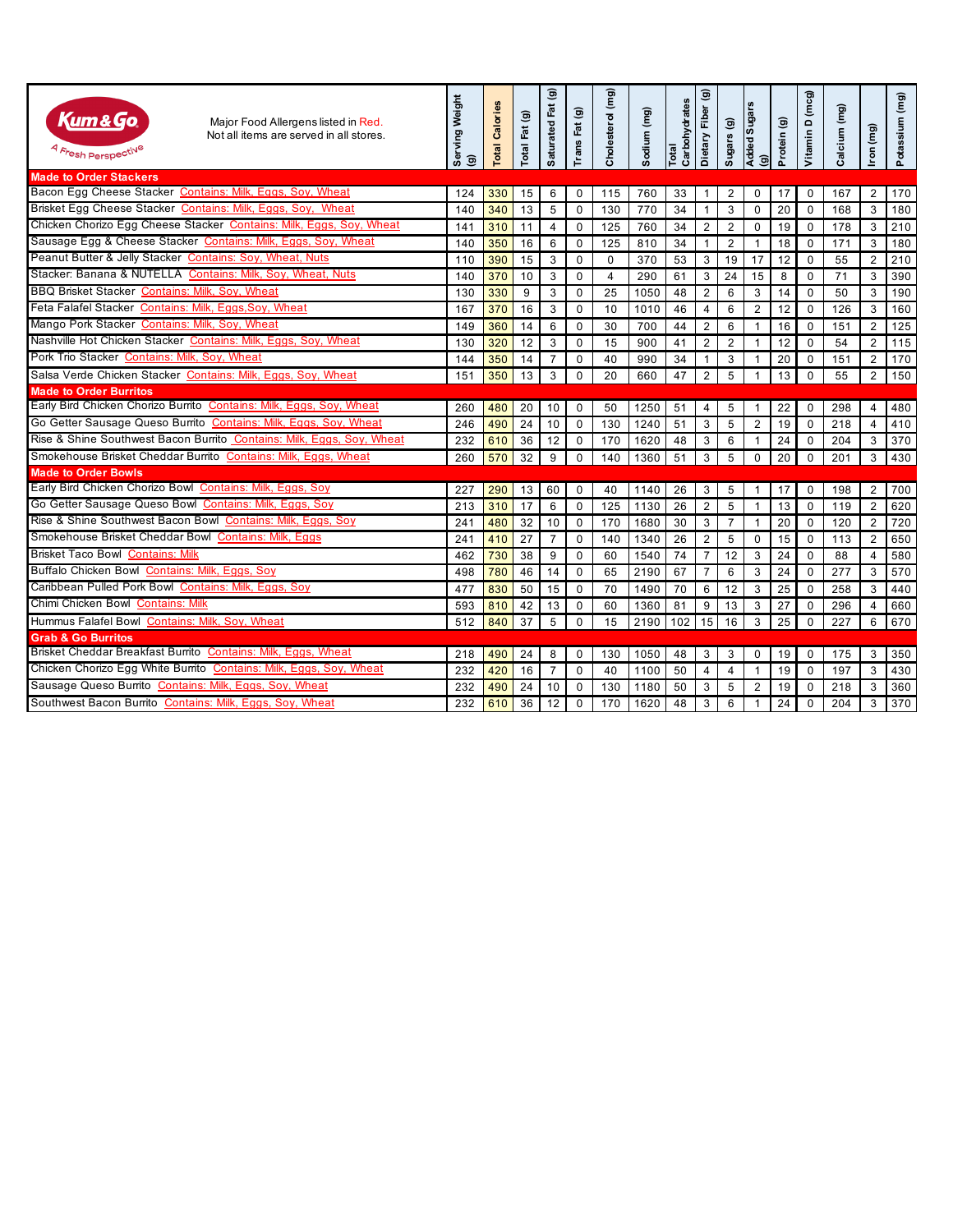| Kum&Go.<br>Major Food Allergens listed in Red.<br>Not all items are served in all stores.<br><i><sup>A Fr</sup>esh Perspecti<sup>ve</sup></i> | Serving Weight<br>ම | Calories<br>Total | Fat (g)<br>Total | $\widehat{\mathbf{e}}$<br>Saturated Fat | $\widehat{\mathbf{G}}$<br>Fat<br>Trans | Cholesterol (mg) | Sodium (mg) | Carbohydrates<br>Total | Dietary Fiber (g) | Sugars (g)     | (g)<br>Added Sugars | Protein (g) | Vitamin D (mcg) | Calcium (mg) | Iron (mg)      | Potassium (mg) |
|-----------------------------------------------------------------------------------------------------------------------------------------------|---------------------|-------------------|------------------|-----------------------------------------|----------------------------------------|------------------|-------------|------------------------|-------------------|----------------|---------------------|-------------|-----------------|--------------|----------------|----------------|
| <b>Made to Order Stackers</b>                                                                                                                 |                     |                   |                  |                                         |                                        |                  |             |                        |                   |                |                     |             |                 |              |                |                |
| Bacon Egg Cheese Stacker Contains: Milk, Eggs, Soy, Wheat                                                                                     | 124                 | 330               | 15               | 6                                       | $\Omega$                               | 115              | 760         | 33                     | $\mathbf{1}$      | 2              | $\mathbf 0$         | 17          | $\Omega$        | 167          | 2              | 170            |
| Brisket Egg Cheese Stacker Contains: Milk, Eggs, Soy, Wheat                                                                                   | 140                 | 340               | 13               | 5                                       | $\mathbf 0$                            | 130              | 770         | 34                     | $\mathbf{1}$      | 3              | $\mathbf 0$         | 20          | $\Omega$        | 168          | 3              | 180            |
| Chicken Chorizo Egg Cheese Stacker Contains: Milk, Eggs, Soy, Wheat                                                                           | 141                 | 310               | 11               | $\overline{4}$                          | $\Omega$                               | 125              | 760         | 34                     | $\overline{2}$    | $\overline{2}$ | $\Omega$            | 19          | $\Omega$        | 178          | 3              | 210            |
| Sausage Egg & Cheese Stacker Contains: Milk, Eggs, Soy, Wheat                                                                                 | 140                 | 350               | 16               | 6                                       | $\mathbf{0}$                           | 125              | 810         | 34                     | $\mathbf{1}$      | $\overline{2}$ | $\mathbf{1}$        | 18          | 0               | 171          | 3              | 180            |
| Peanut Butter & Jelly Stacker Contains: Soy, Wheat, Nuts                                                                                      | 110                 | 390               | 15               | 3                                       | $\mathbf 0$                            | $\mathbf 0$      | 370         | 53                     | 3                 | 19             | 17                  | 12          | 0               | 55           | 2              | 210            |
| Stacker: Banana & NUTELLA Contains: Milk, Soy, Wheat, Nuts                                                                                    | 140                 | 370               | 10               | 3                                       | $\mathbf 0$                            | $\overline{4}$   | 290         | 61                     | 3                 | 24             | 15                  | 8           | 0               | 71           | 3              | 390            |
| BBQ Brisket Stacker Contains: Milk, Soy, Wheat                                                                                                | 130                 | 330               | 9                | 3                                       | $\mathbf 0$                            | 25               | 1050        | 48                     | $\overline{2}$    | 6              | $\mathbf{3}$        | 14          | 0               | 50           | 3              | 190            |
| Feta Falafel Stacker Contains: Milk, Eggs, Soy, Wheat                                                                                         | 167                 | 370               | 16               | 3                                       | $\mathbf 0$                            | 10               | 1010        | 46                     | 4                 | 6              | $\overline{2}$      | 12          | 0               | 126          | 3              | 160            |
| Mango Pork Stacker Contains: Milk, Soy, Wheat                                                                                                 | 149                 | 360               | 14               | 6                                       | $\mathbf 0$                            | 30               | 700         | 44                     | $\overline{2}$    | 6              | $\mathbf{1}$        | 16          | 0               | 151          | 2              | 125            |
| Nashville Hot Chicken Stacker Contains: Milk, Eggs, Soy, Wheat                                                                                | 130                 | 320               | 12               | 3                                       | $\mathbf 0$                            | 15               | 900         | 41                     | $\overline{2}$    | $\overline{2}$ | $\mathbf{1}$        | 12          | 0               | 54           | 2              | 115            |
| Pork Trio Stacker Contains: Milk, Soy, Wheat                                                                                                  | 144                 | 350               | 14               | $\overline{7}$                          | $\mathbf 0$                            | 40               | 990         | 34                     | $\mathbf{1}$      | 3              | $\mathbf{1}$        | 20          | 0               | 151          | $\overline{2}$ | 170            |
| Salsa Verde Chicken Stacker Contains: Milk, Eggs, Soy, Wheat                                                                                  | 151                 | 350               | 13               | 3                                       | $\mathbf 0$                            | 20               | 660         | 47                     | $\overline{2}$    | 5              |                     | 13          | 0               | 55           | $\overline{2}$ | 150            |
| <b>Made to Order Burritos</b>                                                                                                                 |                     |                   |                  |                                         |                                        |                  |             |                        |                   |                |                     |             |                 |              |                |                |
| Early Bird Chicken Chorizo Burrito Contains: Milk, Eggs, Soy, Wheat                                                                           | 260                 | 480               | 20               | 10                                      | $\mathbf{0}$                           | 50               | 1250        | 51                     | 4                 | 5              | -1                  | 22          | $\mathbf 0$     | 298          | $\overline{4}$ | 480            |
| Go Getter Sausage Queso Burrito Contains: Milk, Eggs, Soy, Wheat                                                                              | 246                 | 490               | 24               | 10                                      | $\mathbf 0$                            | 130              | 1240        | 51                     | 3                 | 5              | 2                   | 19          | $\mathbf 0$     | 218          | $\overline{4}$ | 410            |
| Rise & Shine Southwest Bacon Burrito Contains: Milk, Eggs, Soy, Wheat                                                                         | 232                 | 610               | 36               | 12                                      | $\mathbf 0$                            | 170              | 1620        | 48                     | 3                 | 6              | $\mathbf{1}$        | 24          | 0               | 204          | 3              | 370            |
| Smokehouse Brisket Cheddar Burrito Contains: Milk, Eggs, Wheat                                                                                | 260                 | 570               | 32               | 9                                       | $\mathbf 0$                            | 140              | 1360        | 51                     | 3                 | 5              | $\mathbf 0$         | 20          | 0               | 201          | 3              | 430            |
| <b>Made to Order Bowls</b>                                                                                                                    |                     |                   |                  |                                         |                                        |                  |             |                        |                   |                |                     |             |                 |              |                |                |
| Early Bird Chicken Chorizo Bowl Contains: Milk, Eggs, Soy                                                                                     | 227                 | 290               | 13               | 60                                      | $\mathbf 0$                            | 40               | 1140        | 26                     | 3                 | 5              | $\mathbf{1}$        | 17          | 0               | 198          | 2              | 700            |
| Go Getter Sausage Queso Bowl Contains: Milk, Eggs, Soy                                                                                        | 213                 | 310               | 17               | 6                                       | $\mathbf 0$                            | 125              | 1130        | 26                     | $\overline{2}$    | 5              | $\mathbf{1}$        | 13          | 0               | 119          | 2              | 620            |
| Rise & Shine Southwest Bacon Bowl Contains: Milk, Eggs, Soy                                                                                   | 241                 | 480               | 32               | 10                                      | $\mathbf 0$                            | 170              | 1680        | 30                     | 3                 | $\overline{7}$ | $\mathbf{1}$        | 20          | 0               | 120          | 2              | 720            |
| Smokehouse Brisket Cheddar Bowl Contains: Milk, Eggs                                                                                          | 241                 | 410               | 27               | $\overline{7}$                          | $\mathbf 0$                            | 140              | 1340        | 26                     | $\overline{c}$    | 5              | $\mathbf 0$         | 15          | $\Omega$        | 113          | 2              | 650            |
| <b>Brisket Taco Bowl Contains: Milk</b>                                                                                                       | 462                 | 730               | 38               | 9                                       | $\mathbf 0$                            | 60               | 1540        | 74                     | $\overline{7}$    | 12             | 3                   | 24          | $\Omega$        | 88           | $\overline{4}$ | 580            |
| Buffalo Chicken Bowl Contains: Milk, Eggs, Soy                                                                                                | 498                 | 780               | 46               | 14                                      | $\mathbf 0$                            | 65               | 2190        | 67                     | $\overline{7}$    | 6              | 3                   | 24          | 0               | 277          | 3              | 570            |
| Caribbean Pulled Pork Bowl Contains: Milk, Eggs, Soy                                                                                          | 477                 | 830               | 50               | 15                                      | $\mathbf 0$                            | 70               | 1490        | 70                     | 6                 | 12             | $\mathbf{3}$        | 25          | 0               | 258          | 3              | 440            |
| Chimi Chicken Bowl Contains: Milk                                                                                                             | 593                 | 810               | 42               | 13                                      | $\mathbf 0$                            | 60               | 1360        | 81                     | 9                 | 13             | 3                   | 27          | 0               | 296          | $\overline{4}$ | 660            |
| Hummus Falafel Bowl Contains: Milk, Soy, Wheat                                                                                                | 512                 | 840               | 37               | 5                                       | $\mathbf 0$                            | 15               | 2190        | 102                    | 15                | 16             | 3                   | 25          | 0               | 227          | 6              | 670            |
| <b>Grab &amp; Go Burritos</b>                                                                                                                 |                     |                   |                  |                                         |                                        |                  |             |                        |                   |                |                     |             |                 |              |                |                |
| Brisket Cheddar Breakfast Burrito Contains: Milk, Eggs, Wheat                                                                                 | 218                 | 490               | 24               | 8                                       | $\mathbf{0}$                           | 130              | 1050        | 48                     | 3                 | 3              | 0                   | 19          | 0               | 175          | 3              | 350            |
| Chicken Chorizo Egg White Burrito Contains: Milk, Eggs, Soy, Wheat                                                                            | 232                 | 420               | 16               | $\overline{7}$                          | $\mathbf{0}$                           | 40               | 1100        | 50                     | 4                 | $\overline{4}$ | $\mathbf{1}$        | 19          | $\Omega$        | 197          | 3              | 430            |
| Sausage Queso Burrito Contains: Milk, Eggs, Soy, Wheat                                                                                        | 232                 | 490               | 24               | 10                                      | $\mathbf{0}$                           | 130              | 1180        | 50                     | 3                 | 5              | $\overline{2}$      | 19          | $\Omega$        | 218          | 3              | 360            |
| Southwest Bacon Burrito Contains: Milk, Eggs, Soy, Wheat                                                                                      | 232                 | 610               | 36               | 12                                      | $\mathbf 0$                            | 170              | 1620        | 48                     | 3                 | 6              | $\mathbf 1$         | 24          | $\Omega$        | 204          | 3              | 370            |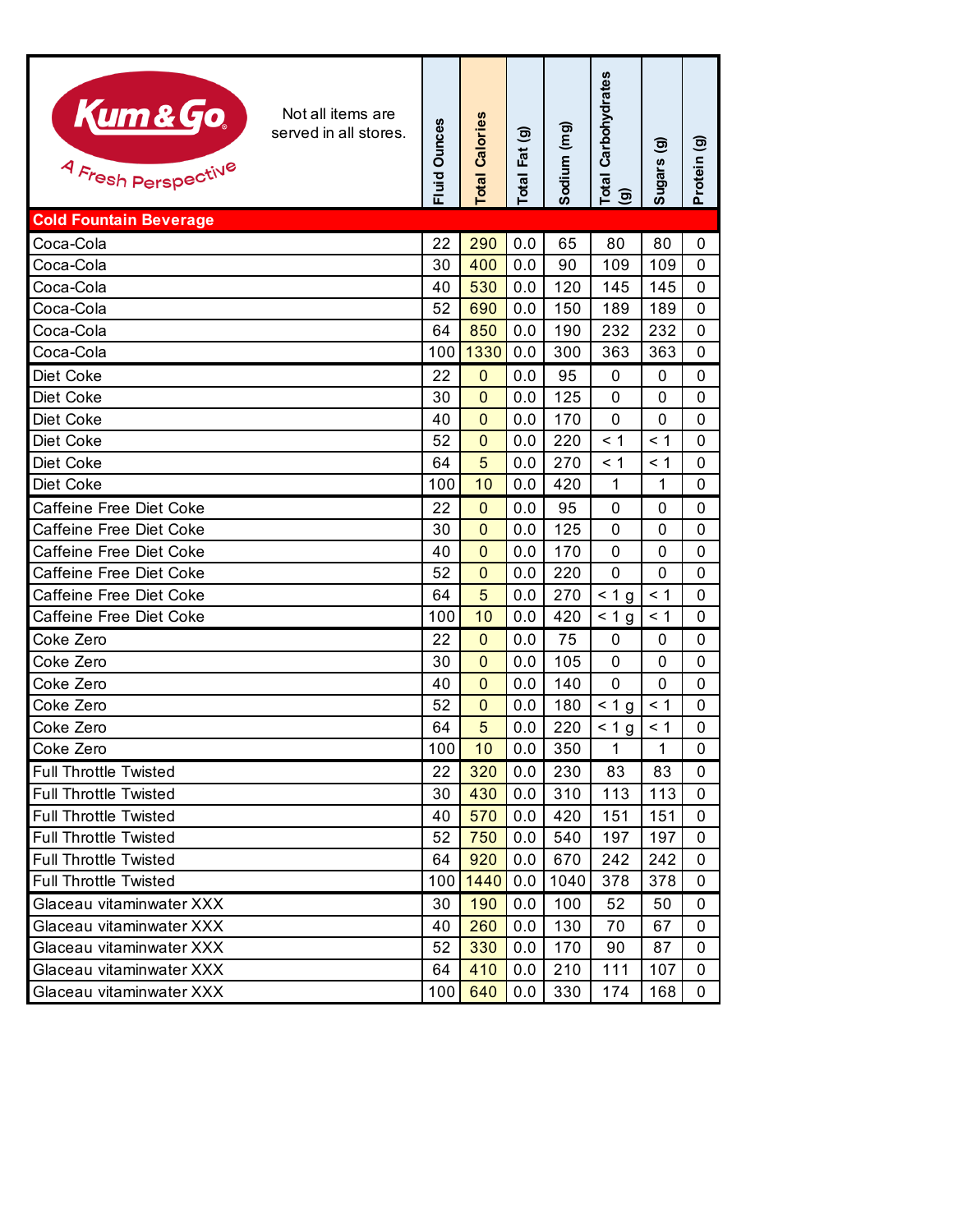| Kum&Go.<br>Not all items are<br>served in all stores.<br>4 Fresh Perspective | Fluid Ounces | <b>Total Calories</b> | Total Fat (g) | Sodium (mg) | Total Carbohydrates<br>(g) | ම<br><b>Sugars</b> | $\widehat{\mathbf{e}}$<br>Protein |
|------------------------------------------------------------------------------|--------------|-----------------------|---------------|-------------|----------------------------|--------------------|-----------------------------------|
| <b>Cold Fountain Beverage</b>                                                |              |                       |               |             |                            |                    |                                   |
| Coca-Cola                                                                    | 22           | 290                   | 0.0           | 65          | 80                         | 80                 | 0                                 |
| Coca-Cola                                                                    | 30           | 400                   | 0.0           | 90          | 109                        | 109                | 0                                 |
| Coca-Cola                                                                    | 40           | 530                   | 0.0           | 120         | 145                        | 145                | 0                                 |
| Coca-Cola                                                                    | 52           | 690                   | 0.0           | 150         | 189                        | 189                | 0                                 |
| Coca-Cola                                                                    | 64           | 850                   | 0.0           | 190         | 232                        | 232                | 0                                 |
| Coca-Cola                                                                    | 100          | 1330                  | 0.0           | 300         | 363                        | 363                | 0                                 |
| Diet Coke                                                                    | 22           | $\mathbf 0$           | 0.0           | 95          | 0                          | 0                  | 0                                 |
| Diet Coke                                                                    | 30           | $\Omega$              | 0.0           | 125         | $\mathbf 0$                | $\mathbf{0}$       | 0                                 |
| Diet Coke                                                                    | 40           | $\Omega$              | 0.0           | 170         | $\mathbf{0}$               | 0                  | 0                                 |
| Diet Coke                                                                    | 52           | 0                     | 0.0           | 220         | < 1                        | < 1                | 0                                 |
| Diet Coke                                                                    | 64           | 5                     | 0.0           | 270         | < 1                        | < 1                | 0                                 |
| Diet Coke                                                                    | 100          | 10                    | 0.0           | 420         | 1                          | 1                  | 0                                 |
| Caffeine Free Diet Coke                                                      | 22           | $\Omega$              | 0.0           | 95          | $\mathbf 0$                | 0                  | 0                                 |
| Caffeine Free Diet Coke                                                      | 30           | $\Omega$              | 0.0           | 125         | 0                          | 0                  | 0                                 |
| Caffeine Free Diet Coke                                                      | 40           | $\Omega$              | 0.0           | 170         | 0                          | 0                  | 0                                 |
| Caffeine Free Diet Coke                                                      | 52           | 0                     | 0.0           | 220         | 0                          | 0                  | 0                                 |
| Caffeine Free Diet Coke                                                      | 64           | 5                     | 0.0           | 270         | < 1 g                      | < 1                | 0                                 |
| Caffeine Free Diet Coke                                                      | 100          | 10                    | 0.0           | 420         | < 1 g                      | $\leq 1$           | 0                                 |
| Coke Zero                                                                    | 22           | $\mathbf{0}$          | 0.0           | 75          | 0                          | 0                  | 0                                 |
| Coke Zero                                                                    | 30           | $\Omega$              | 0.0           | 105         | $\mathbf{0}$               | 0                  | 0                                 |
| Coke Zero                                                                    | 40           | 0                     | 0.0           | 140         | $\mathbf{0}$               | 0                  | 0                                 |
| Coke Zero                                                                    | 52           | $\Omega$              | 0.0           | 180         | < 1 g                      | < 1                | 0                                 |
| Coke Zero                                                                    | 64           | 5                     | 0.0           | 220         | < 1 g                      | <1                 | 0                                 |
| Coke Zero                                                                    | 100          | 10                    | 0.0           | 350         | 1                          | 1                  | 0                                 |
| <b>Full Throttle Twisted</b>                                                 | 22           | 320                   | 0.0           | 230         | 83                         | 83                 | 0                                 |
| <b>Full Throttle Twisted</b>                                                 | 30           | 430                   | 0.0           | 310         | 113                        | 113                | 0                                 |
| <b>Full Throttle Twisted</b>                                                 | 40           | 570                   | 0.0           | 420         | 151                        | 151                | 0                                 |
| <b>Full Throttle Twisted</b>                                                 | 52           | 750                   | 0.0           | 540         | 197                        | 197                | 0                                 |
| <b>Full Throttle Twisted</b>                                                 | 64           | 920                   | 0.0           | 670         | 242                        | 242                | 0                                 |
| <b>Full Throttle Twisted</b>                                                 | 100          | 1440                  | 0.0           | 1040        | 378                        | 378                | 0                                 |
| Glaceau vitaminwater XXX                                                     | 30           | 190                   | 0.0           | 100         | 52                         | 50                 | 0                                 |
| Glaceau vitaminwater XXX                                                     | 40           | 260                   | 0.0           | 130         | 70                         | 67                 | 0                                 |
| Glaceau vitaminwater XXX                                                     | 52           | 330                   | 0.0           | 170         | 90                         | 87                 | $\Omega$                          |
| Glaceau vitaminwater XXX                                                     | 64           | 410                   | 0.0           | 210         | 111                        | 107                | 0                                 |
| Glaceau vitaminwater XXX                                                     | 100          | 640                   | 0.0           | 330         | 174                        | 168                | 0                                 |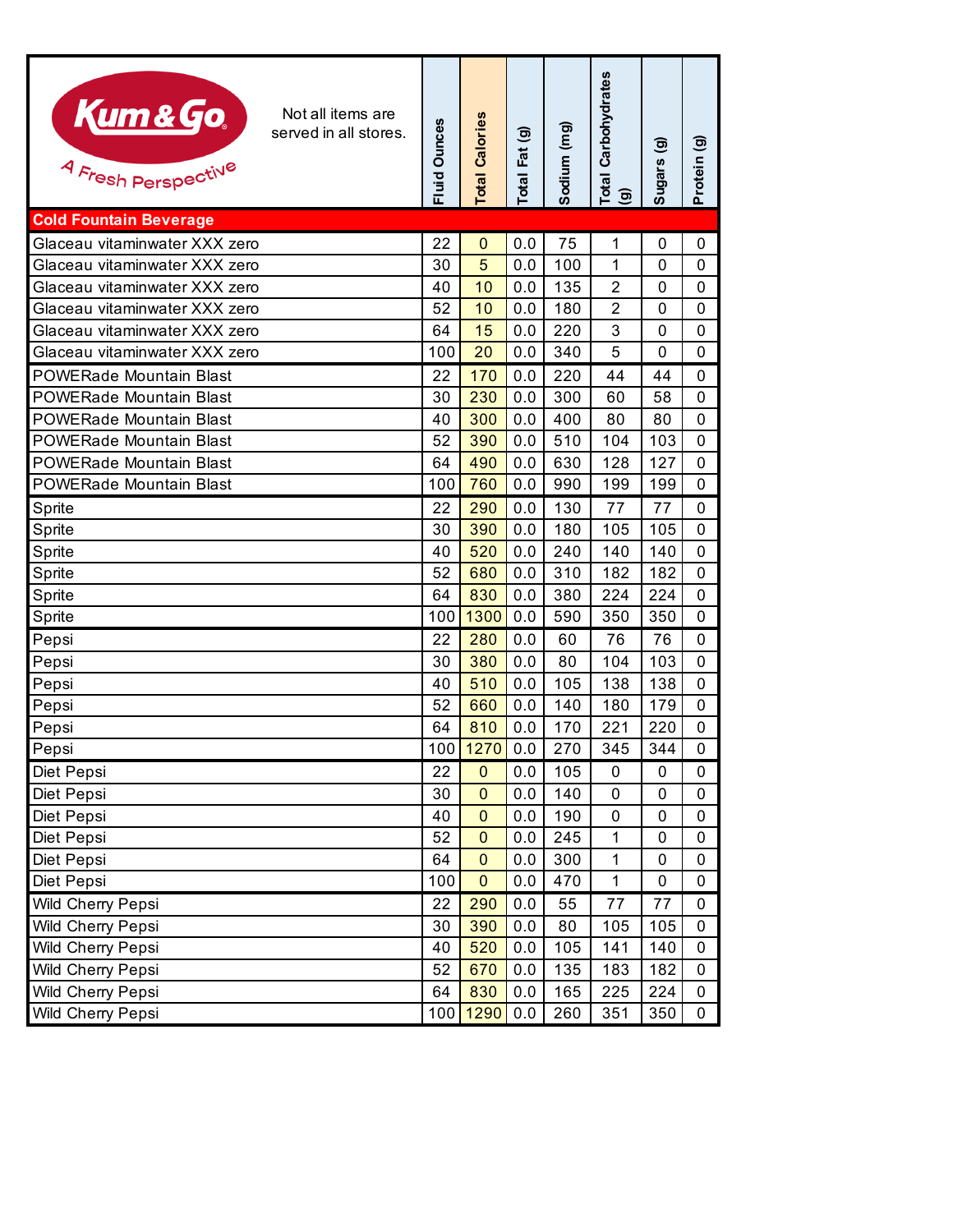| Kum & Go.<br>Not all items are<br>served in all stores.<br>4 Fresh Perspective | <b>Fluid Ounces</b> | Calories<br>Total | Total Fat (g) | Sodium (mg) | <b>Total Carbohydrates</b><br>ම | ම<br><b>Sugars</b> | $\widehat{\mathbf{e}}$<br>Protein |
|--------------------------------------------------------------------------------|---------------------|-------------------|---------------|-------------|---------------------------------|--------------------|-----------------------------------|
| <b>Cold Fountain Beverage</b>                                                  |                     |                   |               |             |                                 |                    |                                   |
| Glaceau vitaminwater XXX zero                                                  | 22                  | $\mathbf 0$       | 0.0           | 75          | 1                               | 0                  | 0                                 |
| Glaceau vitaminwater XXX zero                                                  | 30                  | 5                 | 0.0           | 100         | 1                               | 0                  | 0                                 |
| Glaceau vitaminwater XXX zero                                                  | 40                  | 10                | 0.0           | 135         | $\overline{2}$                  | 0                  | 0                                 |
| Glaceau vitaminwater XXX zero                                                  | 52                  | 10                | 0.0           | 180         | $\overline{2}$                  | 0                  | 0                                 |
| Glaceau vitaminwater XXX zero                                                  | 64                  | 15                | 0.0           | 220         | 3                               | 0                  | 0                                 |
| Glaceau vitaminwater XXX zero                                                  | 100                 | 20                | 0.0           | 340         | 5                               | 0                  | 0                                 |
| <b>POWERade Mountain Blast</b>                                                 | 22                  | 170               | 0.0           | 220         | 44                              | 44                 | 0                                 |
| <b>POWERade Mountain Blast</b>                                                 | 30                  | 230               | 0.0           | 300         | 60                              | 58                 | 0                                 |
| <b>POWERade Mountain Blast</b>                                                 | 40                  | 300               | 0.0           | 400         | 80                              | 80                 | 0                                 |
| <b>POWERade Mountain Blast</b>                                                 | 52                  | 390               | 0.0           | 510         | 104                             | 103                | 0                                 |
| <b>POWERade Mountain Blast</b>                                                 | 64                  | 490               | 0.0           | 630         | 128                             | 127                | 0                                 |
| <b>POWERade Mountain Blast</b>                                                 | 100                 | 760               | 0.0           | 990         | 199                             | 199                | 0                                 |
| Sprite                                                                         | 22                  | 290               | 0.0           | 130         | 77                              | 77                 | 0                                 |
| Sprite                                                                         | 30                  | 390               | 0.0           | 180         | 105                             | 105                | 0                                 |
| Sprite                                                                         | 40                  | 520               | 0.0           | 240         | 140                             | 140                | 0                                 |
| Sprite                                                                         | 52                  | 680               | 0.0           | 310         | 182                             | 182                | 0                                 |
| Sprite                                                                         | 64                  | 830               | 0.0           | 380         | 224                             | 224                | 0                                 |
| Sprite                                                                         | 100                 | 1300              | 0.0           | 590         | 350                             | 350                | 0                                 |
| Pepsi                                                                          | 22                  | 280               | 0.0           | 60          | 76                              | 76                 | 0                                 |
| Pepsi                                                                          | 30                  | 380               | 0.0           | 80          | 104                             | 103                | 0                                 |
| Pepsi                                                                          | 40                  | 510               | 0.0           | 105         | 138                             | 138                | 0                                 |
| Pepsi                                                                          | 52                  | 660               | 0.0           | 140         | 180                             | 179                | 0                                 |
| Pepsi                                                                          | 64                  | 810               | 0.0           | 170         | 221                             | 220                | 0                                 |
| Pepsi                                                                          |                     | 100 1270          | 0.0           | 270         | 345                             | 344                | 0                                 |
| Diet Pepsi                                                                     | 22                  | $\mathbf 0$       | 0.0           | 105         | $\mathbf 0$                     | 0                  | 0                                 |
| Diet Pepsi                                                                     | 30                  | $\mathbf 0$       | 0.0           | 140         | 0                               | 0                  | 0                                 |
| Diet Pepsi                                                                     | 40                  | $\mathbf 0$       | 0.0           | 190         | 0                               | 0                  | 0                                 |
| Diet Pepsi                                                                     | 52                  | $\mathbf 0$       | 0.0           | 245         | 1                               | 0                  | 0                                 |
| Diet Pepsi                                                                     | 64                  | $\mathbf 0$       | 0.0           | 300         | 1                               | 0                  | 0                                 |
| Diet Pepsi                                                                     | 100                 | $\mathbf{0}$      | 0.0           | 470         | 1                               | 0                  | 0                                 |
| Wild Cherry Pepsi                                                              | 22                  | 290               | 0.0           | 55          | 77                              | 77                 | 0                                 |
| Wild Cherry Pepsi                                                              | 30                  | 390               | 0.0           | 80          | 105                             | 105                | 0                                 |
| Wild Cherry Pepsi                                                              | 40                  | 520               | 0.0           | 105         | 141                             | 140                | 0                                 |
| Wild Cherry Pepsi                                                              | 52                  | 670               | 0.0           | 135         | 183                             | 182                | 0                                 |
| Wild Cherry Pepsi                                                              | 64                  | 830               | 0.0           | 165         | 225                             | 224                | 0                                 |
| Wild Cherry Pepsi                                                              | 100                 | 1290              | 0.0           | 260         | 351                             | 350                | 0                                 |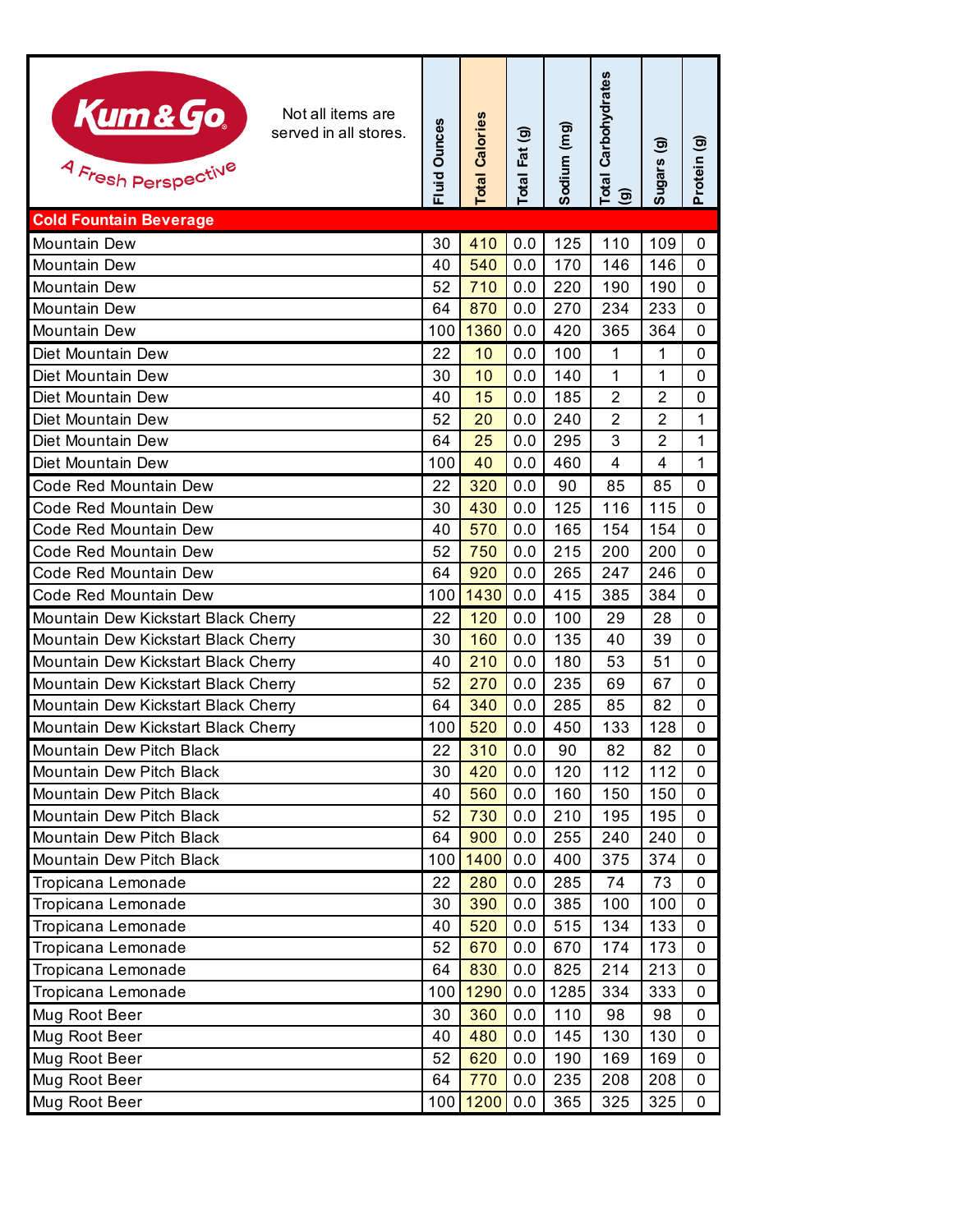| Kum&Go.<br>Not all items are<br>served in all stores.<br>4 Fresh Perspective | Fluid Ounces | <b>Total Calories</b> | Total Fat (g) | Sodium (mg) | Carbohydrates<br>Total<br>(g) | ම<br>Sugars    | <u>ම</u><br>Protein |
|------------------------------------------------------------------------------|--------------|-----------------------|---------------|-------------|-------------------------------|----------------|---------------------|
| <b>Cold Fountain Beverage</b>                                                |              |                       |               |             |                               |                |                     |
| <b>Mountain Dew</b>                                                          | 30           | 410                   | 0.0           | 125         | 110                           | 109            | 0                   |
| Mountain Dew                                                                 | 40           | 540                   | 0.0           | 170         | 146                           | 146            | 0                   |
| Mountain Dew                                                                 | 52           | 710                   | 0.0           | 220         | 190                           | 190            | 0                   |
| <b>Mountain Dew</b>                                                          | 64           | 870                   | 0.0           | 270         | 234                           | 233            | 0                   |
| Mountain Dew                                                                 | 100          | 1360                  | 0.0           | 420         | 365                           | 364            | 0                   |
| Diet Mountain Dew                                                            | 22           | 10                    | 0.0           | 100         | 1                             | 1              | 0                   |
| Diet Mountain Dew                                                            | 30           | 10                    | 0.0           | 140         | 1                             | 1              | 0                   |
| Diet Mountain Dew                                                            | 40           | 15                    | 0.0           | 185         | $\overline{2}$                | $\overline{2}$ | 0                   |
| Diet Mountain Dew                                                            | 52           | 20                    | 0.0           | 240         | $\overline{2}$                | $\overline{2}$ | $\mathbf{1}$        |
| Diet Mountain Dew                                                            | 64           | 25                    | 0.0           | 295         | 3                             | 2              | 1                   |
| Diet Mountain Dew                                                            | 100          | 40                    | 0.0           | 460         | $\overline{4}$                | 4              | $\mathbf{1}$        |
| Code Red Mountain Dew                                                        | 22           | 320                   | 0.0           | 90          | 85                            | 85             | 0                   |
| Code Red Mountain Dew                                                        | 30           | 430                   | 0.0           | 125         | 116                           | 115            | 0                   |
| Code Red Mountain Dew                                                        | 40           | 570                   | 0.0           | 165         | 154                           | 154            | 0                   |
| Code Red Mountain Dew                                                        | 52           | 750                   | 0.0           | 215         | 200                           | 200            | 0                   |
| Code Red Mountain Dew                                                        | 64           | 920                   | 0.0           | 265         | 247                           | 246            | 0                   |
| Code Red Mountain Dew                                                        | 100          | 1430                  | 0.0           | 415         | 385                           | 384            | 0                   |
| Mountain Dew Kickstart Black Cherry                                          | 22           | 120                   | 0.0           | 100         | 29                            | 28             | 0                   |
| Mountain Dew Kickstart Black Cherry                                          | 30           | 160                   | 0.0           | 135         | 40                            | 39             | 0                   |
| Mountain Dew Kickstart Black Cherry                                          | 40           | 210                   | 0.0           | 180         | 53                            | 51             | $\mathbf{0}$        |
| Mountain Dew Kickstart Black Cherry                                          | 52           | 270                   | 0.0           | 235         | 69                            | 67             | 0                   |
| Mountain Dew Kickstart Black Cherry                                          | 64           | 340                   | 0.0           | 285         | 85                            | 82             | 0                   |
| Mountain Dew Kickstart Black Cherry                                          | 100          | 520                   | 0.0           | 450         | 133                           | 128            | 0                   |
| Mountain Dew Pitch Black                                                     | 22           | 310                   | 0.0           | 90          | 82                            | 82             | 0                   |
| Mountain Dew Pitch Black                                                     | 30           | 420                   | 0.0           | 120         | 112                           | 112            | 0                   |
| Mountain Dew Pitch Black                                                     | 40           | 560                   | 0.0           | 160         | 150                           | 150            | 0                   |
| Mountain Dew Pitch Black                                                     | 52           | 730                   | 0.0           | 210         | 195                           | 195            | 0                   |
| Mountain Dew Pitch Black                                                     | 64           | 900                   | 0.0           | 255         | 240                           | 240            | 0                   |
| Mountain Dew Pitch Black                                                     | 100          | 1400                  | 0.0           | 400         | 375                           | 374            | 0                   |
| Tropicana Lemonade                                                           | 22           | 280                   | 0.0           | 285         | 74                            | 73             | $\pmb{0}$           |
| Tropicana Lemonade                                                           | 30           | 390                   | 0.0           | 385         | 100                           | 100            | 0                   |
| Tropicana Lemonade                                                           | 40           | 520                   | 0.0           | 515         | 134                           | 133            | 0                   |
| Tropicana Lemonade                                                           | 52           | 670                   | 0.0           | 670         | 174                           | 173            | 0                   |
| Tropicana Lemonade                                                           | 64           | 830                   | 0.0           | 825         | 214                           | 213            | 0                   |
| Tropicana Lemonade                                                           | 100          | 1290                  | 0.0           | 1285        | 334                           | 333            | 0                   |
| Mug Root Beer                                                                | 30           | 360                   | 0.0           | 110         | 98                            | 98             | 0                   |
| Mug Root Beer                                                                | 40           | 480                   | 0.0           | 145         | 130                           | 130            | 0                   |
| Mug Root Beer                                                                | 52           | 620                   | 0.0           | 190         | 169                           | 169            | 0                   |
| Mug Root Beer                                                                | 64           | 770                   | 0.0           | 235         | 208                           | 208            | 0                   |
| Mug Root Beer                                                                | 100          | 1200                  | 0.0           | 365         | 325                           | 325            | 0                   |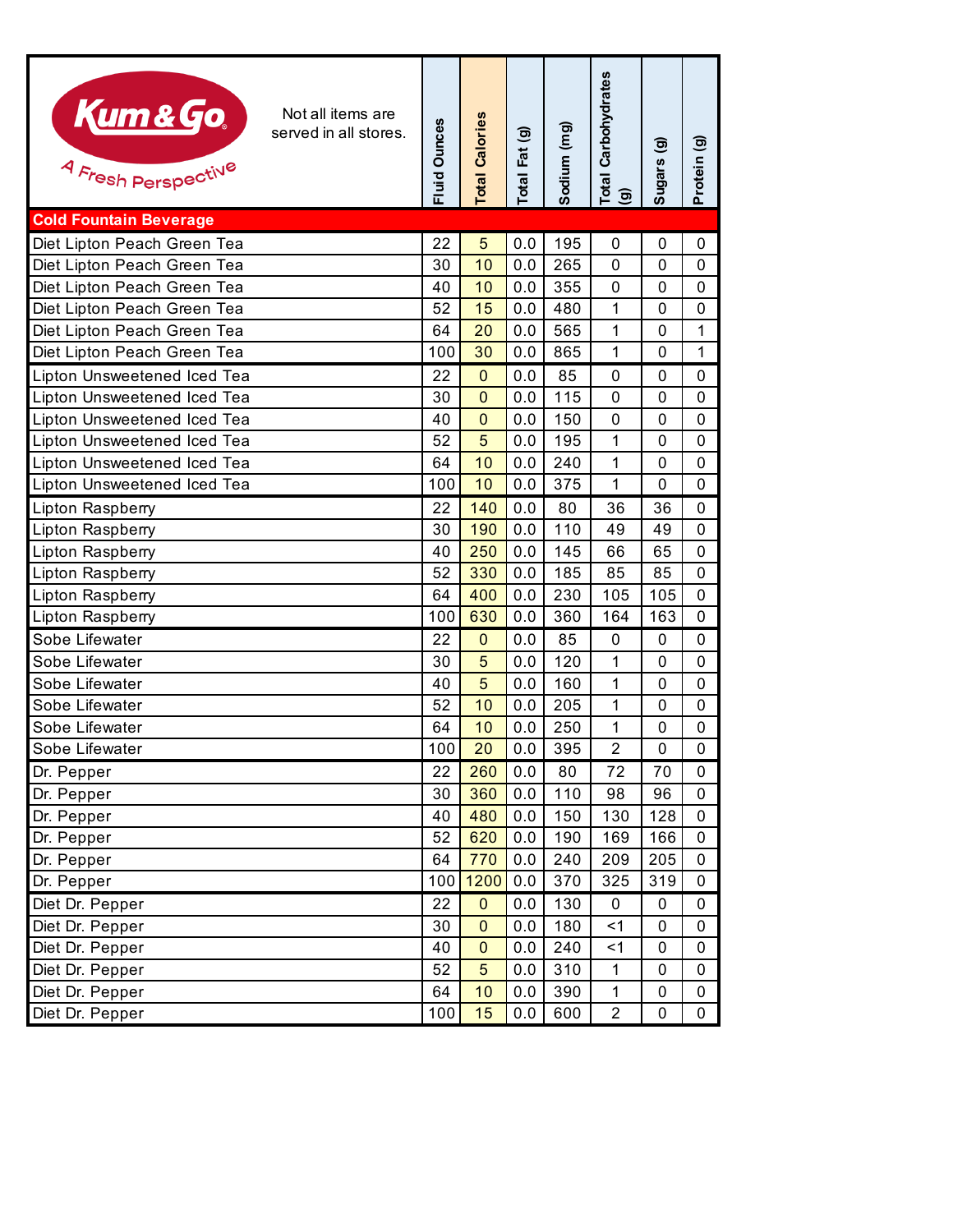| Kum&Go.<br>Not all items are<br>served in all stores.<br>4 Fresh Perspective | Fluid Ounces | <b>Total Calories</b> | Total Fat (g) | Sodium (mg) | <b>Total Carbohydrates</b><br>$\odot$ | ම<br>Sugars  | Protein (g)  |
|------------------------------------------------------------------------------|--------------|-----------------------|---------------|-------------|---------------------------------------|--------------|--------------|
| <b>Cold Fountain Beverage</b>                                                |              |                       |               |             |                                       |              |              |
| Diet Lipton Peach Green Tea                                                  | 22           | 5                     | 0.0           | 195         | 0                                     | 0            | 0            |
| Diet Lipton Peach Green Tea                                                  | 30           | 10                    | 0.0           | 265         | $\mathbf 0$                           | 0            | 0            |
| Diet Lipton Peach Green Tea                                                  | 40           | 10                    | 0.0           | 355         | 0                                     | 0            | 0            |
| Diet Lipton Peach Green Tea                                                  | 52           | 15                    | 0.0           | 480         | 1                                     | 0            | 0            |
| Diet Lipton Peach Green Tea                                                  | 64           | 20                    | 0.0           | 565         | 1                                     | 0            | $\mathbf{1}$ |
| Diet Lipton Peach Green Tea                                                  | 100          | 30                    | 0.0           | 865         | 1                                     | 0            | $\mathbf{1}$ |
| Lipton Unsweetened Iced Tea                                                  | 22           | $\mathbf 0$           | 0.0           | 85          | 0                                     | 0            | 0            |
| Lipton Unsweetened Iced Tea                                                  | 30           | $\overline{0}$        | 0.0           | 115         | $\mathbf 0$                           | $\mathbf 0$  | 0            |
| Lipton Unsweetened Iced Tea                                                  | 40           | $\overline{0}$        | 0.0           | 150         | $\mathbf 0$                           | $\mathbf{0}$ | 0            |
| Lipton Unsweetened Iced Tea                                                  | 52           | 5                     | 0.0           | 195         | 1                                     | 0            | 0            |
| Lipton Unsweetened Iced Tea                                                  | 64           | 10                    | 0.0           | 240         | 1                                     | $\mathbf 0$  | 0            |
| Lipton Unsweetened Iced Tea                                                  | 100          | 10                    | 0.0           | 375         | 1                                     | 0            | 0            |
| Lipton Raspberry                                                             | 22           | 140                   | 0.0           | 80          | 36                                    | 36           | 0            |
| Lipton Raspberry                                                             | 30           | 190                   | 0.0           | 110         | 49                                    | 49           | 0            |
| Lipton Raspberry                                                             | 40           | 250                   | 0.0           | 145         | 66                                    | 65           | 0            |
| Lipton Raspberry                                                             | 52           | 330                   | 0.0           | 185         | 85                                    | 85           | 0            |
| Lipton Raspberry                                                             | 64           | 400                   | 0.0           | 230         | 105                                   | 105          | 0            |
| Lipton Raspberry                                                             | 100          | 630                   | 0.0           | 360         | 164                                   | 163          | 0            |
| Sobe Lifewater                                                               | 22           | $\mathbf 0$           | 0.0           | 85          | $\boldsymbol{0}$                      | 0            | 0            |
| Sobe Lifewater                                                               | 30           | 5                     | 0.0           | 120         | 1                                     | $\mathbf{0}$ | 0            |
| Sobe Lifewater                                                               | 40           | 5                     | 0.0           | 160         | 1                                     | 0            | 0            |
| Sobe Lifewater                                                               | 52           | 10                    | 0.0           | 205         | 1                                     | $\mathbf 0$  | 0            |
| Sobe Lifewater                                                               | 64           | 10                    | 0.0           | 250         | 1                                     | 0            | 0            |
| Sobe Lifewater                                                               | 100          | 20                    | 0.0           | 395         | $\overline{2}$                        | 0            | 0            |
| Dr. Pepper                                                                   | 22           | 260                   | 0.0           | 80          | 72                                    | 70           | 0            |
| Dr. Pepper                                                                   | 30           | 360                   | 0.0           | 110         | 98                                    | 96           | 0            |
| Dr. Pepper                                                                   | 40           | 480                   | 0.0           | 150         | 130                                   | 128          | 0            |
| Dr. Pepper                                                                   | 52           | 620                   | 0.0           | 190         | 169                                   | 166          | 0            |
| Dr. Pepper                                                                   | 64           | 770                   | 0.0           | 240         | 209                                   | 205          | 0            |
| Dr. Pepper                                                                   | 100          | 1200                  | 0.0           | 370         | 325                                   | 319          | 0            |
| Diet Dr. Pepper                                                              | 22           | $\mathbf{0}$          | 0.0           | 130         | 0                                     | 0            | 0            |
| Diet Dr. Pepper                                                              | 30           | $\mathbf 0$           | 0.0           | 180         | $<$ 1                                 | 0            | 0            |
| Diet Dr. Pepper                                                              | 40           | $\overline{0}$        | 0.0           | 240         | < 1                                   | 0            | 0            |
| Diet Dr. Pepper                                                              | 52           | 5                     | 0.0           | 310         | 1                                     | 0            | 0            |
| Diet Dr. Pepper                                                              | 64           | 10                    | 0.0           | 390         | 1                                     | 0            | 0            |
| Diet Dr. Pepper                                                              | 100          | 15                    | 0.0           | 600         | $\overline{2}$                        | 0            | 0            |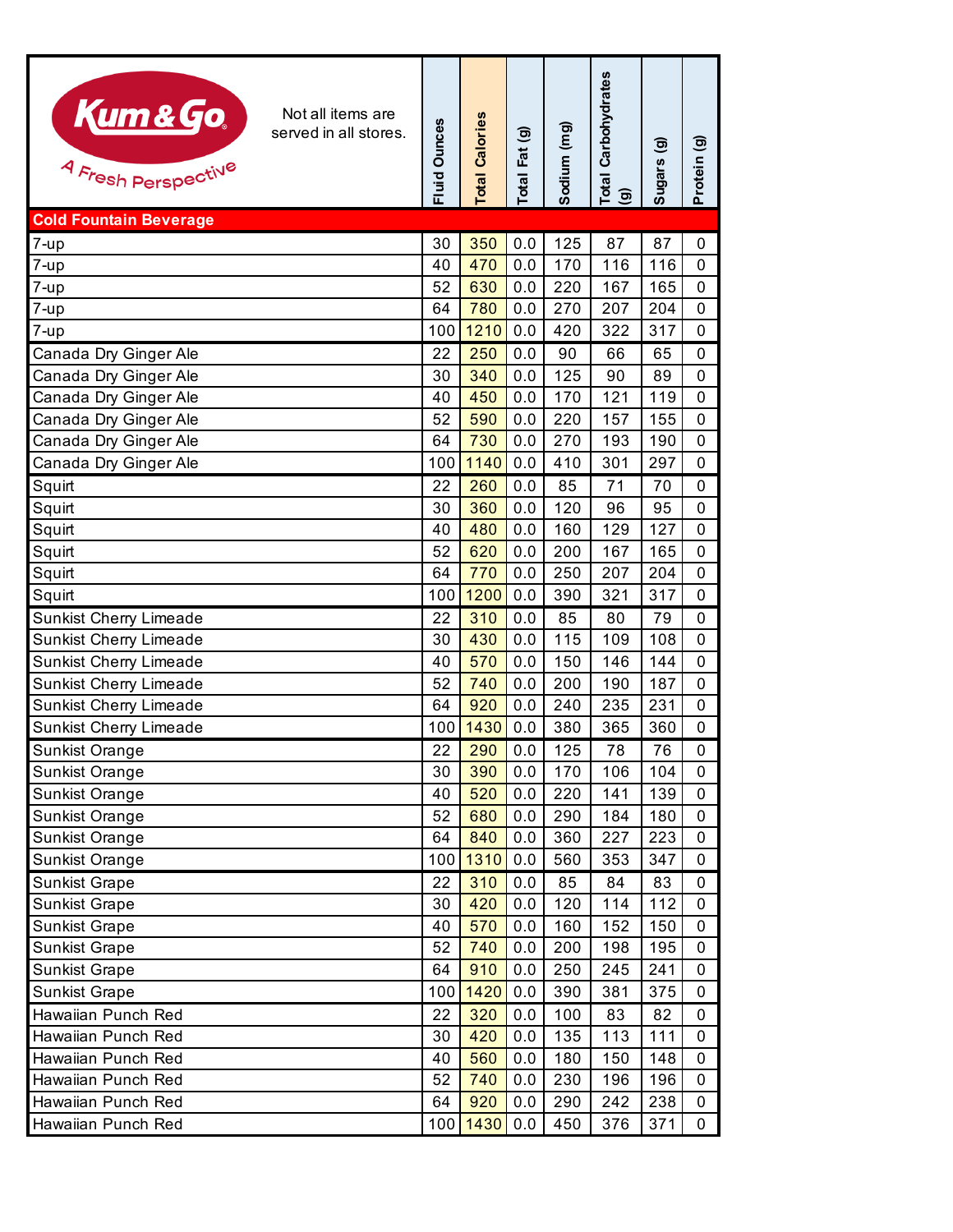| Kum&Go<br>Not all items are<br>served in all stores.<br>4 Fresh Perspective | <b>Fluid Ounces</b> | <b>Total Calories</b> | Total Fat (g) | Sodium (mg) | Total Carbohydrates<br>$\mathbf{D}$ | $\widehat{\mathbf{e}}$<br>Sugars | $\widehat{\mathbf{e}}$<br>Protein |
|-----------------------------------------------------------------------------|---------------------|-----------------------|---------------|-------------|-------------------------------------|----------------------------------|-----------------------------------|
| <b>Cold Fountain Beverage</b>                                               |                     |                       |               |             |                                     |                                  |                                   |
| $7 - up$                                                                    | 30                  | 350                   | 0.0           | 125         | 87                                  | 87                               | 0                                 |
| 7-up                                                                        | 40                  | 470                   | 0.0           | 170         | 116                                 | 116                              | $\mathbf 0$                       |
| 7-up                                                                        | 52                  | 630                   | 0.0           | 220         | 167                                 | 165                              | 0                                 |
| 7-up                                                                        | 64                  | 780                   | 0.0           | 270         | 207                                 | 204                              | 0                                 |
| 7-up                                                                        | 100                 | 1210                  | 0.0           | 420         | 322                                 | 317                              | $\mathbf 0$                       |
| Canada Dry Ginger Ale                                                       | 22                  | 250                   | 0.0           | 90          | 66                                  | 65                               | 0                                 |
| Canada Dry Ginger Ale                                                       | 30                  | 340                   | 0.0           | 125         | 90                                  | 89                               | 0                                 |
| Canada Dry Ginger Ale                                                       | 40                  | 450                   | 0.0           | 170         | 121                                 | 119                              | 0                                 |
| Canada Dry Ginger Ale                                                       | 52                  | 590                   | 0.0           | 220         | 157                                 | 155                              | 0                                 |
| Canada Dry Ginger Ale                                                       | 64                  | 730                   | 0.0           | 270         | 193                                 | 190                              | 0                                 |
| Canada Dry Ginger Ale                                                       | 100                 | 1140                  | 0.0           | 410         | 301                                 | 297                              | 0                                 |
| Squirt                                                                      | 22                  | 260                   | 0.0           | 85          | 71                                  | 70                               | 0                                 |
| Squirt                                                                      | 30                  | 360                   | 0.0           | 120         | 96                                  | 95                               | $\mathbf 0$                       |
| Squirt                                                                      | 40                  | 480                   | 0.0           | 160         | 129                                 | 127                              | 0                                 |
| Squirt                                                                      | 52                  | 620                   | 0.0           | 200         | 167                                 | 165                              | 0                                 |
| Squirt                                                                      | 64                  | 770                   | 0.0           | 250         | 207                                 | 204                              | 0                                 |
| Squirt                                                                      | 100                 | 1200                  | 0.0           | 390         | 321                                 | 317                              | 0                                 |
| <b>Sunkist Cherry Limeade</b>                                               | 22                  | 310                   | 0.0           | 85          | 80                                  | 79                               | 0                                 |
| <b>Sunkist Cherry Limeade</b>                                               | 30                  | 430                   | 0.0           | 115         | 109                                 | 108                              | 0                                 |
| <b>Sunkist Cherry Limeade</b>                                               | 40<br>52            | 570<br>740            | 0.0           | 150         | 146                                 | 144<br>187                       | 0                                 |
| <b>Sunkist Cherry Limeade</b>                                               | 64                  | 920                   | 0.0<br>0.0    | 200<br>240  | 190<br>235                          | 231                              | 0<br>0                            |
| <b>Sunkist Cherry Limeade</b><br><b>Sunkist Cherry Limeade</b>              | 100                 | 1430                  | 0.0           | 380         | 365                                 | 360                              | $\mathbf 0$                       |
| <b>Sunkist Orange</b>                                                       | 22                  | 290                   | 0.0           | 125         | 78                                  | 76                               | $\pmb{0}$                         |
| Sunkist Orange                                                              | 30                  | 390                   | 0.0           | 170         | 106                                 | 104                              | 0                                 |
| Sunkist Orange                                                              | 40                  | 520                   | 0.0           | 220         | 141                                 | 139                              | 0                                 |
| Sunkist Orange                                                              | 52                  | 680                   | 0.0           | 290         | 184                                 | 180                              | 0                                 |
| Sunkist Orange                                                              | 64                  | 840                   | 0.0           | 360         | 227                                 | 223                              | 0                                 |
| Sunkist Orange                                                              | 100                 | 1310                  | 0.0           | 560         | 353                                 | 347                              | 0                                 |
| <b>Sunkist Grape</b>                                                        | 22                  | 310                   | 0.0           | 85          | 84                                  | 83                               | 0                                 |
| <b>Sunkist Grape</b>                                                        | 30                  | 420                   | 0.0           | 120         | 114                                 | 112                              | $\mathbf 0$                       |
| <b>Sunkist Grape</b>                                                        | 40                  | 570                   | 0.0           | 160         | 152                                 | 150                              | 0                                 |
| <b>Sunkist Grape</b>                                                        | 52                  | 740                   | 0.0           | 200         | 198                                 | 195                              | 0                                 |
| <b>Sunkist Grape</b>                                                        | 64                  | 910                   | 0.0           | 250         | 245                                 | 241                              | 0                                 |
| <b>Sunkist Grape</b>                                                        | 100                 | 1420                  | 0.0           | 390         | 381                                 | 375                              | 0                                 |
| Hawaiian Punch Red                                                          | 22                  | 320                   | 0.0           | 100         | 83                                  | 82                               | 0                                 |
| Hawaiian Punch Red                                                          | 30                  | 420                   | 0.0           | 135         | 113                                 | 111                              | 0                                 |
| Hawaiian Punch Red                                                          | 40                  | 560                   | 0.0           | 180         | 150                                 | 148                              | 0                                 |
| Hawaiian Punch Red                                                          | 52                  | 740                   | 0.0           | 230         | 196                                 | 196                              | 0                                 |
| Hawaiian Punch Red                                                          | 64                  | 920                   | 0.0           | 290         | 242                                 | 238                              | 0                                 |
| Hawaiian Punch Red                                                          | 100                 | 1430                  | 0.0           | 450         | 376                                 | 371                              | $\mathbf 0$                       |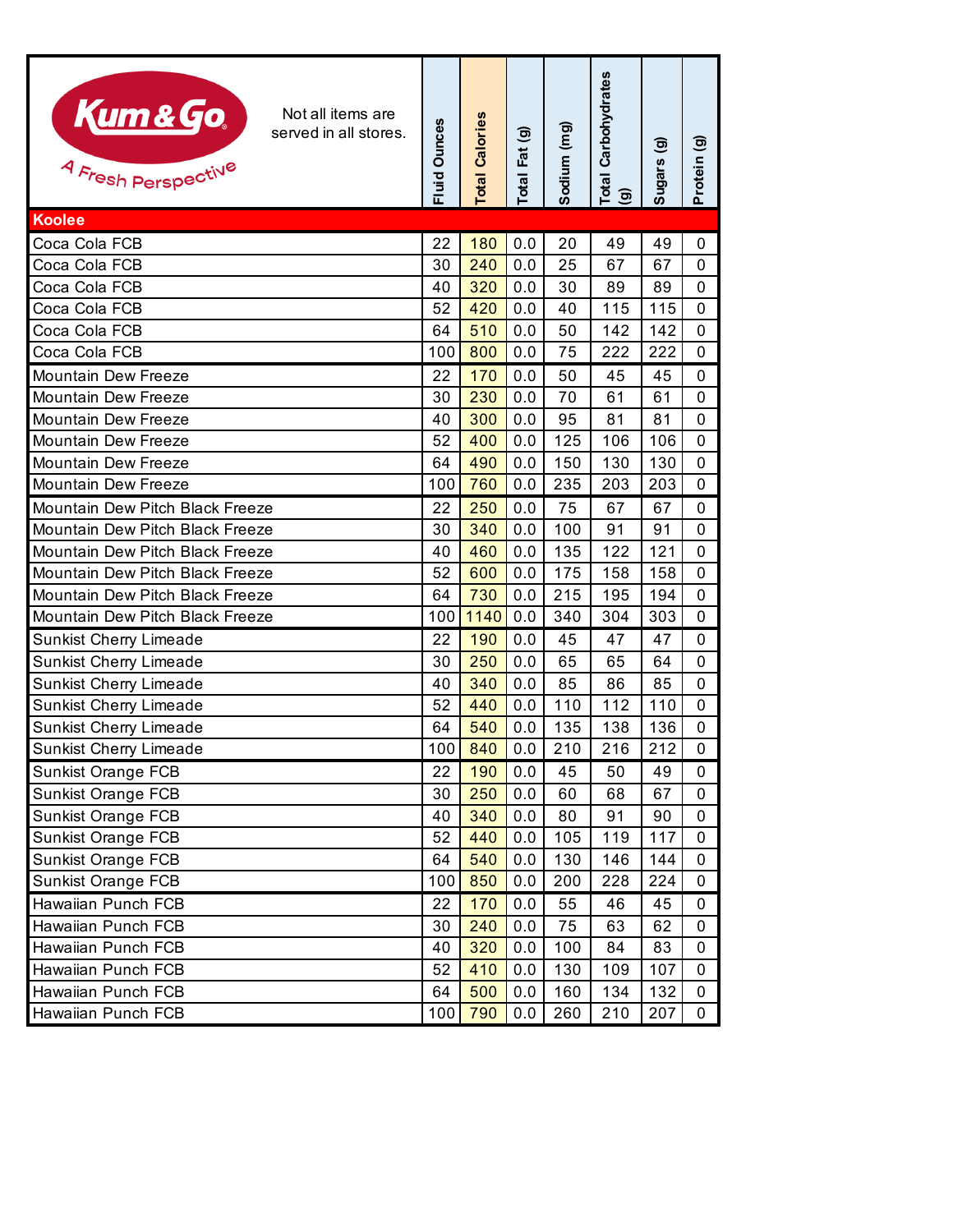| Kum & Go.<br>Not all items are<br>served in all stores.<br>4 Fresh Perspective | <b>Fluid Ounces</b> | <b>Total Calories</b> | Total Fat (g) | Sodium (mg) | <b>Total Carbohydrates</b><br>ම | Sugars (g) | Protein (g) |
|--------------------------------------------------------------------------------|---------------------|-----------------------|---------------|-------------|---------------------------------|------------|-------------|
| Koolee                                                                         |                     |                       |               |             |                                 |            |             |
| Coca Cola FCB                                                                  | 22                  | 180                   | 0.0           | 20          | 49                              | 49         | 0           |
| Coca Cola FCB                                                                  | 30                  | 240                   | 0.0           | 25          | 67                              | 67         | $\mathbf 0$ |
| Coca Cola FCB                                                                  | 40                  | 320                   | 0.0           | 30          | 89                              | 89         | $\Omega$    |
| Coca Cola FCB                                                                  | 52                  | 420                   | 0.0           | 40          | 115                             | 115        | $\Omega$    |
| Coca Cola FCB                                                                  | 64                  | 510                   | 0.0           | 50          | 142                             | 142        | 0           |
| Coca Cola FCB                                                                  | 100                 | 800                   | 0.0           | 75          | 222                             | 222        | 0           |
| Mountain Dew Freeze                                                            | 22                  | 170                   | 0.0           | 50          | 45                              | 45         | 0           |
| <b>Mountain Dew Freeze</b>                                                     | 30                  | 230                   | 0.0           | 70          | 61                              | 61         | 0           |
| <b>Mountain Dew Freeze</b>                                                     | 40                  | 300                   | 0.0           | 95          | 81                              | 81         | 0           |
| <b>Mountain Dew Freeze</b>                                                     | 52                  | 400                   | 0.0           | 125         | 106                             | 106        | 0           |
| Mountain Dew Freeze                                                            | 64                  | 490                   | 0.0           | 150         | 130                             | 130        | $\Omega$    |
| Mountain Dew Freeze                                                            | 100                 | 760                   | 0.0           | 235         | 203                             | 203        | 0           |
| Mountain Dew Pitch Black Freeze                                                | 22                  | 250                   | 0.0           | 75          | 67                              | 67         | 0           |
| Mountain Dew Pitch Black Freeze                                                | 30                  | 340                   | 0.0           | 100         | 91                              | 91         | 0           |
| Mountain Dew Pitch Black Freeze                                                | 40                  | 460                   | 0.0           | 135         | 122                             | 121        | $\Omega$    |
| Mountain Dew Pitch Black Freeze                                                | 52                  | 600                   | 0.0           | 175         | 158                             | 158        | 0           |
| Mountain Dew Pitch Black Freeze                                                | 64                  | 730                   | 0.0           | 215         | 195                             | 194        | $\Omega$    |
| Mountain Dew Pitch Black Freeze                                                | 100                 | 1140                  | 0.0           | 340         | 304                             | 303        | 0           |
| <b>Sunkist Cherry Limeade</b>                                                  | 22                  | 190                   | 0.0           | 45          | 47                              | 47         | 0           |
| <b>Sunkist Cherry Limeade</b>                                                  | 30                  | 250                   | 0.0           | 65          | 65                              | 64         | 0           |
| <b>Sunkist Cherry Limeade</b>                                                  | 40                  | 340                   | 0.0           | 85          | 86                              | 85         | 0           |
| <b>Sunkist Cherry Limeade</b>                                                  | 52                  | 440                   | 0.0           | 110         | 112                             | 110        | $\Omega$    |
| <b>Sunkist Cherry Limeade</b>                                                  | 64                  | 540                   | 0.0           | 135         | 138                             | 136        | $\mathbf 0$ |
| Sunkist Cherry Limeade                                                         | 100                 | 840                   | 0.0           | 210         | 216                             | 212        | 0           |
| <b>Sunkist Orange FCB</b>                                                      | 22                  | 190                   | 0.0           | 45          | 50                              | 49         | 0           |
| <b>Sunkist Orange FCB</b>                                                      | 30                  | 250                   | 0.0           | 60          | 68                              | 67         | 0           |
| <b>Sunkist Orange FCB</b>                                                      | 40                  | 340                   | 0.0           | 80          | 91                              | 90         | 0           |
| <b>Sunkist Orange FCB</b>                                                      | 52                  | 440                   | 0.0           | 105         | 119                             | 117        | 0           |
| <b>Sunkist Orange FCB</b>                                                      | 64                  | 540                   | 0.0           | 130         | 146                             | 144        | 0           |
| <b>Sunkist Orange FCB</b>                                                      | 100                 | 850                   | 0.0           | 200         | 228                             | 224        | 0           |
| Hawaiian Punch FCB                                                             | 22                  | 170                   | 0.0           | 55          | 46                              | 45         | 0           |
| Hawaiian Punch FCB                                                             | 30                  | 240                   | 0.0           | 75          | 63                              | 62         | 0           |
| Hawaiian Punch FCB                                                             | 40                  | 320                   | 0.0           | 100         | 84                              | 83         | 0           |
| Hawaiian Punch FCB                                                             | 52                  | 410                   | 0.0           | 130         | 109                             | 107        | 0           |
| Hawaiian Punch FCB                                                             | 64                  | 500                   | 0.0           | 160         | 134                             | 132        | 0           |
| Hawaiian Punch FCB                                                             | 100                 | 790                   | 0.0           | 260         | 210                             | 207        | 0           |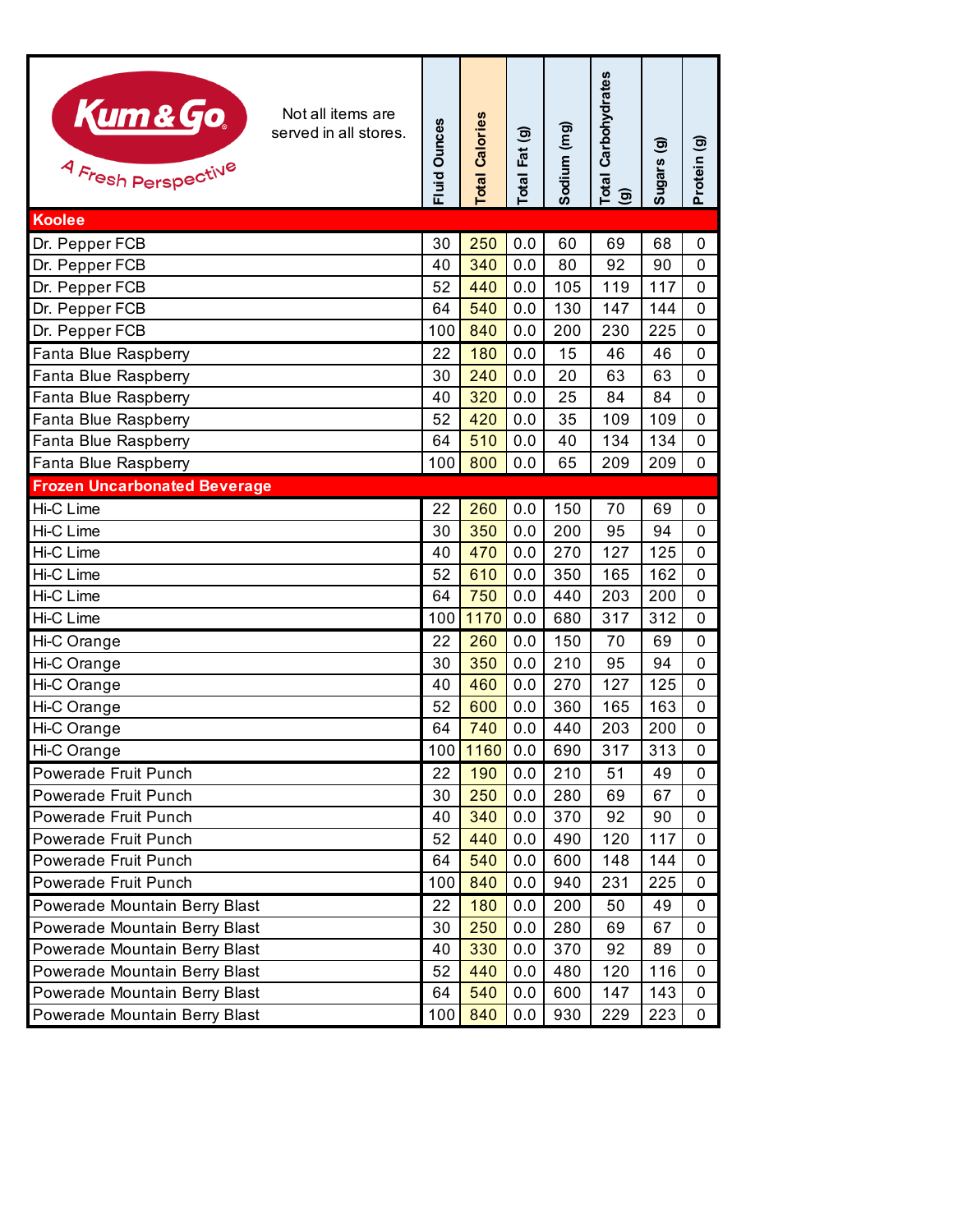| Kum&Go<br>Not all items are<br>served in all stores.<br>4 Fresh Perspective | Fluid Ounces | <b>Total Calories</b> | Total Fat (g) | Sodium (mg) | <b>Total Carbohydrates</b><br>ම | Sugars (g) | Protein (g)    |
|-----------------------------------------------------------------------------|--------------|-----------------------|---------------|-------------|---------------------------------|------------|----------------|
| <b>Koolee</b>                                                               |              |                       |               |             |                                 |            |                |
| Dr. Pepper FCB                                                              | 30           | 250                   | 0.0           | 60          | 69                              | 68         | 0              |
| Dr. Pepper FCB                                                              | 40           | 340                   | 0.0           | 80          | 92                              | 90         | $\mathbf 0$    |
| Dr. Pepper FCB                                                              | 52           | 440                   | 0.0           | 105         | 119                             | 117        | 0              |
| Dr. Pepper FCB                                                              | 64           | 540                   | 0.0           | 130         | 147                             | 144        | 0              |
| Dr. Pepper FCB                                                              | 100          | 840                   | 0.0           | 200         | 230                             | 225        | $\overline{0}$ |
| Fanta Blue Raspberry                                                        | 22           | 180                   | 0.0           | 15          | 46                              | 46         | 0              |
| Fanta Blue Raspberry                                                        | 30           | 240                   | 0.0           | 20          | 63                              | 63         | 0              |
| Fanta Blue Raspberry                                                        | 40           | 320                   | 0.0           | 25          | 84                              | 84         | $\overline{0}$ |
| Fanta Blue Raspberry                                                        | 52           | 420                   | 0.0           | 35          | 109                             | 109        | 0              |
| Fanta Blue Raspberry                                                        | 64           | 510                   | 0.0           | 40          | 134                             | 134        | 0              |
| Fanta Blue Raspberry                                                        | 100          | 800                   | 0.0           | 65          | 209                             | 209        | $\mathbf 0$    |
| <b>Frozen Uncarbonated Beverage</b>                                         |              |                       |               |             |                                 |            |                |
| Hi-C Lime                                                                   | 22           | 260                   | 0.0           | 150         | 70                              | 69         | 0              |
| Hi-C Lime                                                                   | 30           | 350                   | 0.0           | 200         | 95                              | 94         | 0              |
| Hi-C Lime                                                                   | 40           | 470                   | 0.0           | 270         | 127                             | 125        | 0              |
| Hi-C Lime                                                                   | 52           | 610                   | 0.0           | 350         | 165                             | 162        | $\overline{0}$ |
| Hi-C Lime                                                                   | 64           | 750                   | 0.0           | 440         | 203                             | 200        | 0              |
| Hi-C Lime                                                                   | 100          | 1170                  | 0.0           | 680         | 317                             | 312        | 0              |
| Hi-C Orange                                                                 | 22           | 260                   | 0.0           | 150         | 70                              | 69         | 0              |
| Hi-C Orange                                                                 | 30           | 350                   | 0.0           | 210         | 95                              | 94         | 0              |
| Hi-C Orange                                                                 | 40           | 460                   | 0.0           | 270         | 127                             | 125        | 0              |
| Hi-C Orange                                                                 | 52           | 600                   | 0.0           | 360         | 165                             | 163        | 0              |
| Hi-C Orange                                                                 | 64           | 740                   | 0.0           | 440         | 203                             | 200        | $\mathbf 0$    |
| Hi-C Orange                                                                 | 100          | 1160                  | 0.0           | 690         | 317                             | 313        | $\mathbf 0$    |
| Powerade Fruit Punch                                                        | 22           | 190                   | 0.0           | 210         | 51                              | 49         | 0              |
| Powerade Fruit Punch                                                        | 30           | 250                   | 0.0           | 280         | 69                              | 67         | 0              |
| Powerade Fruit Punch                                                        | 40           | 340                   | 0.0           | 370         | 92                              | 90         | 0              |
| Powerade Fruit Punch                                                        | 52           | 440                   | 0.0           | 490         | 120                             | 117        | 0              |
| Powerade Fruit Punch                                                        | 64           | 540                   | 0.0           | 600         | 148                             | 144        | 0              |
| Powerade Fruit Punch                                                        | 100          | 840                   | 0.0           | 940         | 231                             | 225        | $\mathbf{0}$   |
| Powerade Mountain Berry Blast                                               | 22           | 180                   | 0.0           | 200         | 50                              | 49         | 0              |
| Powerade Mountain Berry Blast                                               | 30           | 250                   | 0.0           | 280         | 69                              | 67         | 0              |
| Powerade Mountain Berry Blast                                               | 40           | 330                   | 0.0           | 370         | 92                              | 89         | 0              |
| Powerade Mountain Berry Blast                                               | 52           | 440                   | 0.0           | 480         | 120                             | 116        | 0              |
| Powerade Mountain Berry Blast                                               | 64           | 540                   | 0.0           | 600         | 147                             | 143        | 0              |
| Powerade Mountain Berry Blast                                               | 100          | 840                   | 0.0           | 930         | 229                             | 223        | 0              |